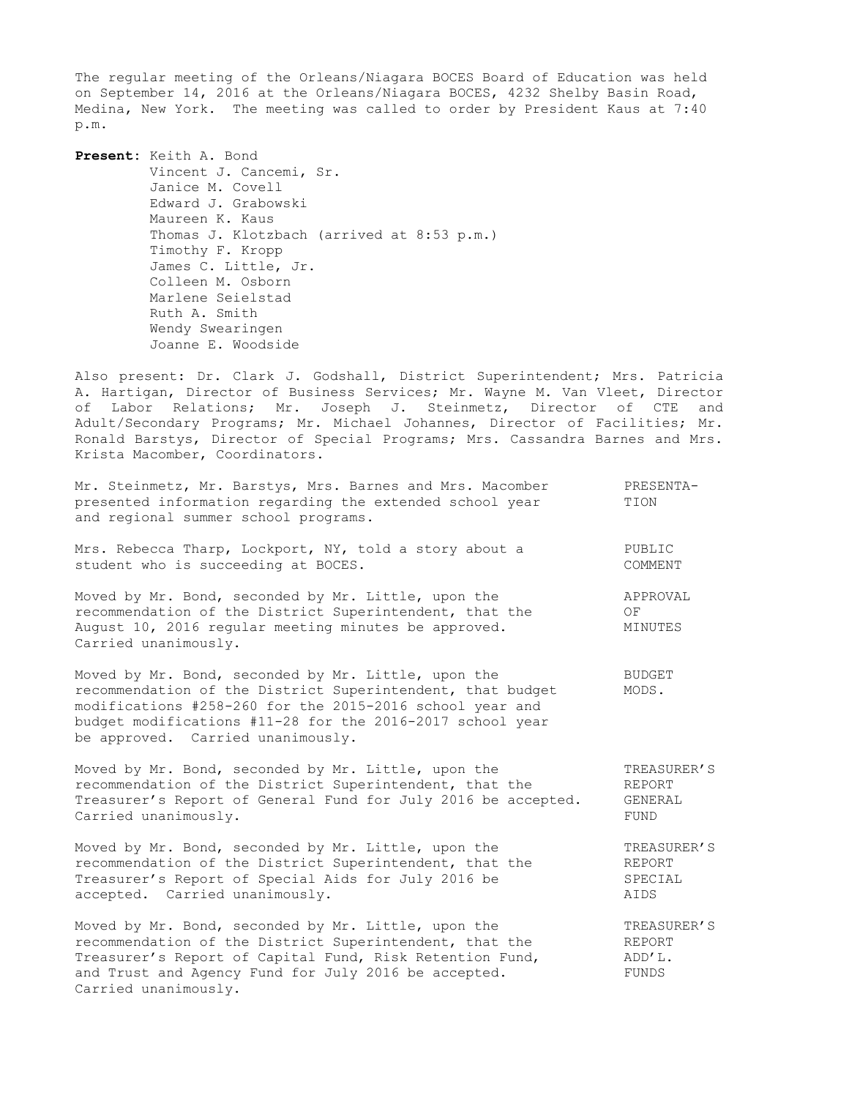The regular meeting of the Orleans/Niagara BOCES Board of Education was held on September 14, 2016 at the Orleans/Niagara BOCES, 4232 Shelby Basin Road, Medina, New York. The meeting was called to order by President Kaus at 7:40 p.m.

**Present:** Keith A. Bond Vincent J. Cancemi, Sr. Janice M. Covell Edward J. Grabowski Maureen K. Kaus Thomas J. Klotzbach (arrived at 8:53 p.m.) Timothy F. Kropp James C. Little, Jr. Colleen M. Osborn Marlene Seielstad Ruth A. Smith Wendy Swearingen Joanne E. Woodside

Also present: Dr. Clark J. Godshall, District Superintendent; Mrs. Patricia A. Hartigan, Director of Business Services; Mr. Wayne M. Van Vleet, Director of Labor Relations; Mr. Joseph J. Steinmetz, Director of CTE and Adult/Secondary Programs; Mr. Michael Johannes, Director of Facilities; Mr. Ronald Barstys, Director of Special Programs; Mrs. Cassandra Barnes and Mrs. Krista Macomber, Coordinators.

| Mr. Steinmetz, Mr. Barstys, Mrs. Barnes and Mrs. Macomber<br>presented information regarding the extended school year<br>and regional summer school programs.                                  | PRESENTA-<br>TION         |
|------------------------------------------------------------------------------------------------------------------------------------------------------------------------------------------------|---------------------------|
| Mrs. Rebecca Tharp, Lockport, NY, told a story about a<br>student who is succeeding at BOCES.                                                                                                  | PUBLIC<br>COMMENT         |
| Moved by Mr. Bond, seconded by Mr. Little, upon the<br>recommendation of the District Superintendent, that the<br>August 10, 2016 regular meeting minutes be approved.<br>Carried unanimously. | APPROVAL<br>ΟF<br>MINUTES |

Moved by Mr. Bond, seconded by Mr. Little, upon the BUDGET recommendation of the District Superintendent, that budget MODS. modifications #258-260 for the 2015-2016 school year and budget modifications #11-28 for the 2016-2017 school year be approved. Carried unanimously.

Moved by Mr. Bond, seconded by Mr. Little, upon the TREASURER'S recommendation of the District Superintendent, that the REPORT Treasurer's Report of General Fund for July 2016 be accepted. GENERAL Carried unanimously. The contract of the contract of the contract of the contract of the contract of the contract of the contract of the contract of the contract of the contract of the contract of the contract of the contr

Moved by Mr. Bond, seconded by Mr. Little, upon the TREASURER'S recommendation of the District Superintendent, that the REPORT recommendation of the District Superintendent, that the Treasurer's Report of Special Aids for July 2016 be SPECIAL accepted. Carried unanimously. AIDS

Moved by Mr. Bond, seconded by Mr. Little, upon the TREASURER'S recommendation of the District Superintendent, that the REPORT Treasurer's Report of Capital Fund, Risk Retention Fund,  $ADD'L$ . Treasurer's Report of Capital Fund, Risk Retention Fund,  $\overline{ADD'L}$ .<br>and Trust and Agency Fund for July 2016 be accepted. FUNDS Carried unanimously.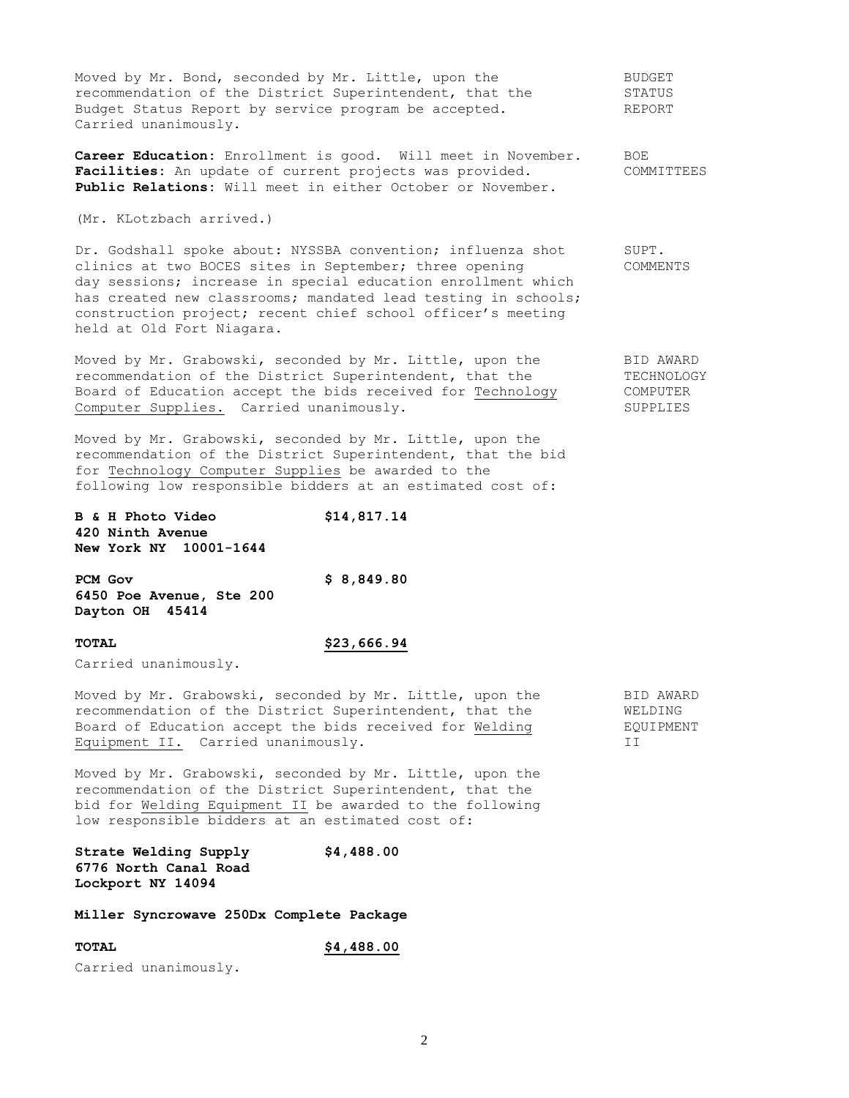Moved by Mr. Bond, seconded by Mr. Little, upon the BUDGET recommendation of the District Superintendent, that the  $\sim$  STATUS<br>Rudget Status Bonard by STATUS Budget Status Report by service program be accepted. REPORT Carried unanimously.

**Career Education:** Enrollment is good. Will meet in November. BOE Facilities: An update of current projects was provided. COMMITTEES **Public Relations:** Will meet in either October or November.

(Mr. KLotzbach arrived.)

Dr. Godshall spoke about: NYSSBA convention; influenza shot SUPT. clinics at two BOCES sites in September; three opening COMMENTS day sessions; increase in special education enrollment which has created new classrooms; mandated lead testing in schools; construction project; recent chief school officer's meeting held at Old Fort Niagara.

Moved by Mr. Grabowski, seconded by Mr. Little, upon the BID AWARD recommendation of the District Superintendent, that the TECHNOLOGY Board of Education accept the bids received for Technology COMPUTER Computer Supplies. Carried unanimously. The supplies of the SUPPLIES

Moved by Mr. Grabowski, seconded by Mr. Little, upon the recommendation of the District Superintendent, that the bid for Technology Computer Supplies be awarded to the following low responsible bidders at an estimated cost of:

| <b>B &amp; H Photo Video</b> |                               | \$14,817.14 |
|------------------------------|-------------------------------|-------------|
| 420 Ninth Avenue             |                               |             |
|                              | <b>New York NY 10001-1644</b> |             |

| PCM Gov                  | \$8,849.80 |
|--------------------------|------------|
| 6450 Poe Avenue, Ste 200 |            |
| Dayton OH 45414          |            |

## **TOTAL \$23,666.94**

Carried unanimously.

Moved by Mr. Grabowski, seconded by Mr. Little, upon the BID AWARD recommendation of the District Superintendent, that the WELDING recommendation of the District Superintendent, that the WELDING<br>Board of Education accept the bids received for Welding EOUIPMENT Board of Education accept the bids received for Welding Equipment II. Carried unanimously. II

Moved by Mr. Grabowski, seconded by Mr. Little, upon the recommendation of the District Superintendent, that the bid for Welding Equipment II be awarded to the following low responsible bidders at an estimated cost of:

**Strate Welding Supply \$4,488.00 6776 North Canal Road Lockport NY 14094** 

**Miller Syncrowave 250Dx Complete Package**

**TOTAL \$4,488.00**  Carried unanimously.

2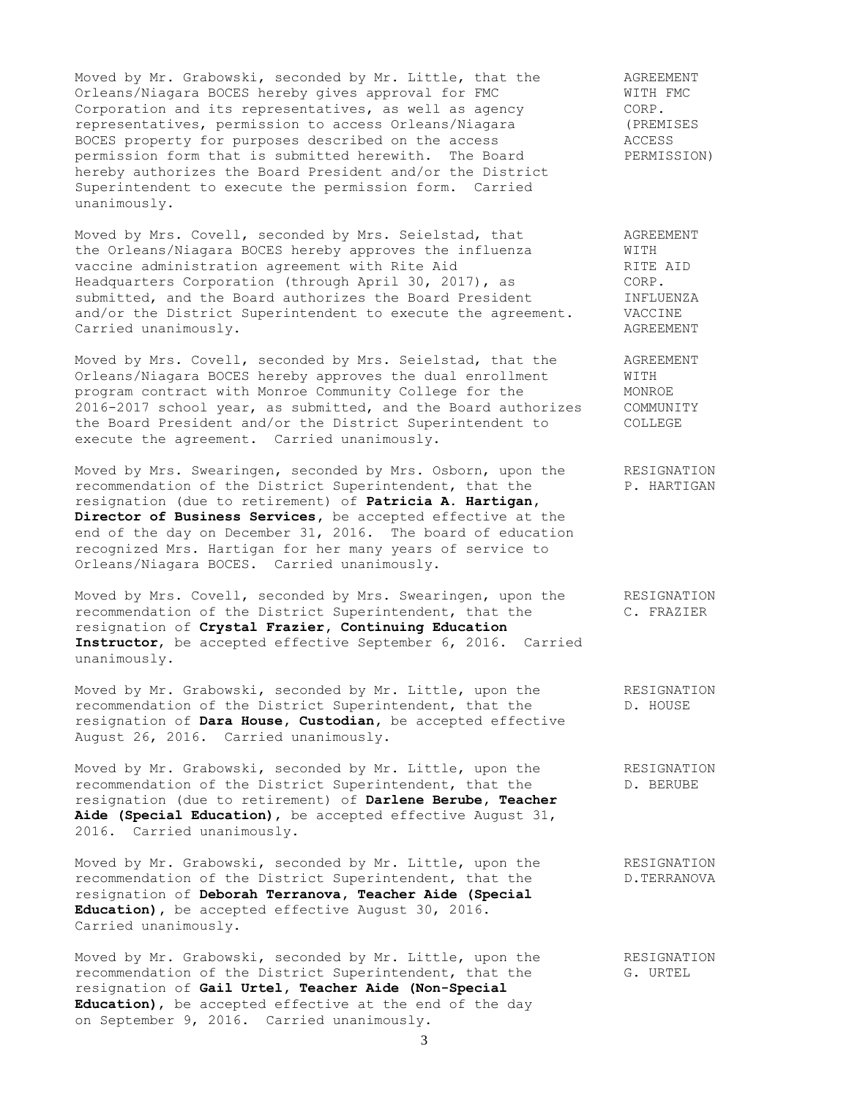Moved by Mr. Grabowski, seconded by Mr. Little, that the and AGREEMENT<br>Orleans/Niagara BOCES hereby gives approval for FMC and MITH FMC Orleans/Niagara BOCES hereby gives approval for FMC WITH FMC<br>
Corporation and its representatives, as well as agency CORP.<br>
representatives, permission to access Orleans/Niagara (PREMISES<br>
BOCES property for purposes descr Corporation and its representatives, as well as agency representatives, permission to access Orleans/Niagara BOCES property for purposes described on the access permission form that is submitted herewith. The Board PERMISSION) hereby authorizes the Board President and/or the District Superintendent to execute the permission form. Carried unanimously.

Moved by Mrs. Covell, seconded by Mrs. Seielstad, that AGREEMENT the Orleans/Niagara BOCES hereby approves the influenza WITH vaccine administration agreement with Rite Aid **RITE AID** Headquarters Corporation (through April 30, 2017), as CORP. submitted, and the Board authorizes the Board President **INFLUENZA** and/or the District Superintendent to execute the agreement. VACCINE Carried unanimously. The contraction of the contraction of the contraction of the contraction of the contraction of the contraction of the contraction of the contraction of the contraction of the contraction of the contrac

Moved by Mrs. Covell, seconded by Mrs. Seielstad, that the AGREEMENT Orleans/Niagara BOCES hereby approves the dual enrollment WITH program contract with Monroe Community College for the MONROE 2016-2017 school year, as submitted, and the Board authorizes COMMUNITY the Board President and/or the District Superintendent to COLLEGE execute the agreement. Carried unanimously.

Moved by Mrs. Swearingen, seconded by Mrs. Osborn, upon the RESIGNATION recommendation of the District Superintendent, that the P. HARTIGAN resignation (due to retirement) of **Patricia A. Hartigan, Director of Business Services,** be accepted effective at the end of the day on December 31, 2016. The board of education recognized Mrs. Hartigan for her many years of service to Orleans/Niagara BOCES. Carried unanimously.

Moved by Mrs. Covell, seconded by Mrs. Swearingen, upon the RESIGNATION recommendation of the District Superintendent, that the C. FRAZIER resignation of **Crystal Frazier, Continuing Education Instructor**, be accepted effective September 6, 2016. Carried unanimously.

Moved by Mr. Grabowski, seconded by Mr. Little, upon the RESIGNATION recommendation of the District Superintendent, that the D. HOUSE resignation of **Dara House, Custodian,** be accepted effective August 26, 2016. Carried unanimously.

Moved by Mr. Grabowski, seconded by Mr. Little, upon the RESIGNATION recommendation of the District Superintendent, that the D. BERUBE resignation (due to retirement) of **Darlene Berube, Teacher Aide (Special Education)**, be accepted effective August 31, 2016. Carried unanimously.

Moved by Mr. Grabowski, seconded by Mr. Little, upon the RESIGNATION recommendation of the District Superintendent, that the  $D$ .TERRANOVA resignation of **Deborah Terranova, Teacher Aide (Special Education),** be accepted effective August 30, 2016. Carried unanimously.

Moved by Mr. Grabowski, seconded by Mr. Little, upon the RESIGNATION recommendation of the District Superintendent, that the G. URTEL recommendation of the District Superintendent, that the resignation of **Gail Urtel, Teacher Aide (Non-Special Education)**, be accepted effective at the end of the day on September 9, 2016. Carried unanimously.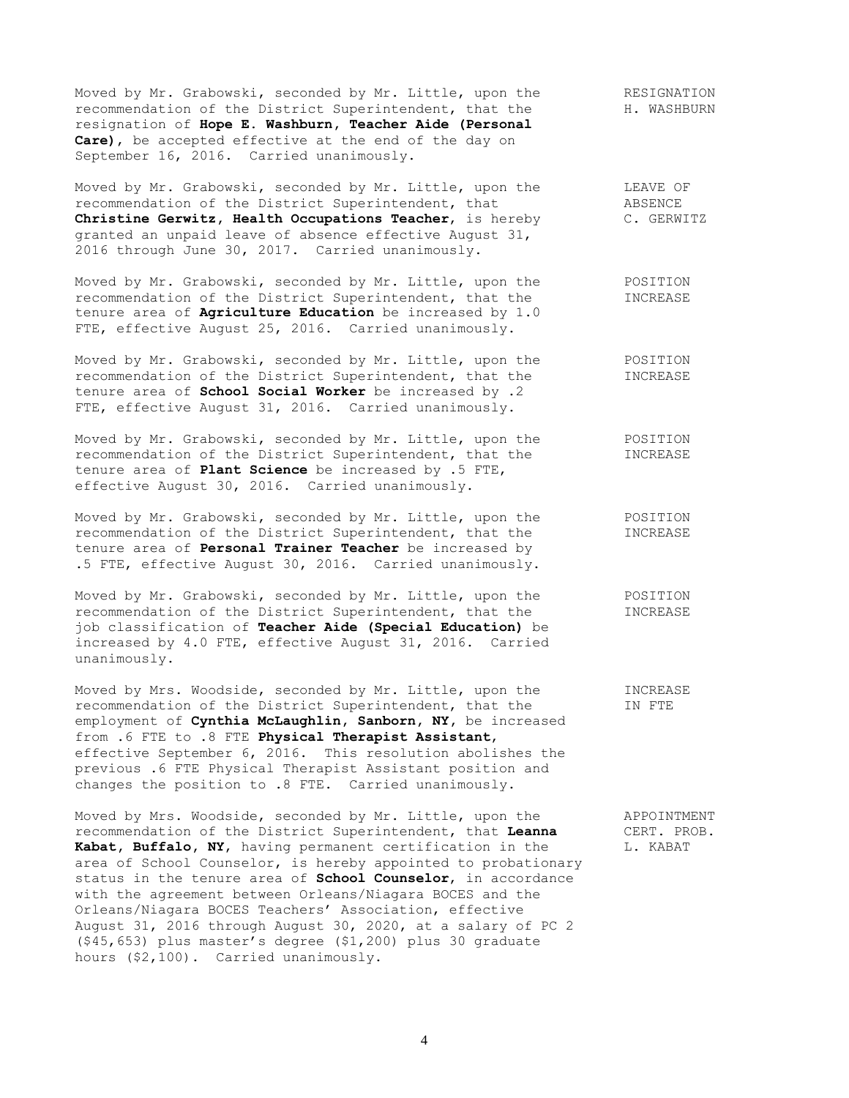Moved by Mr. Grabowski, seconded by Mr. Little, upon the RESIGNATION recommendation of the District Superintendent, that the  $H.$  WASHBURN resignation of **Hope E. Washburn, Teacher Aide (Personal Care)**, be accepted effective at the end of the day on September 16, 2016. Carried unanimously.

Moved by Mr. Grabowski, seconded by Mr. Little, upon the TEAVE OF recommendation of the District Superintendent, that ABSENCE **Christine Gerwitz, Health Occupations Teacher**, is hereby C. GERWITZ granted an unpaid leave of absence effective August 31, 2016 through June 30, 2017. Carried unanimously.

Moved by Mr. Grabowski, seconded by Mr. Little, upon the POSITION recommendation of the District Superintendent, that the INCREASE tenure area of **Agriculture Education** be increased by 1.0 FTE, effective August 25, 2016. Carried unanimously.

Moved by Mr. Grabowski, seconded by Mr. Little, upon the POSITION recommendation of the District Superintendent, that the INCREASE tenure area of **School Social Worker** be increased by .2 FTE, effective August 31, 2016. Carried unanimously.

Moved by Mr. Grabowski, seconded by Mr. Little, upon the POSITION recommendation of the District Superintendent, that the INCREASE tenure area of **Plant Science** be increased by .5 FTE, effective August 30, 2016. Carried unanimously.

Moved by Mr. Grabowski, seconded by Mr. Little, upon the POSITION recommendation of the District Superintendent, that the **INCREASE** tenure area of **Personal Trainer Teacher** be increased by .5 FTE, effective August 30, 2016. Carried unanimously.

Moved by Mr. Grabowski, seconded by Mr. Little, upon the POSITION recommendation of the District Superintendent, that the INCREASE job classification of **Teacher Aide (Special Education)** be increased by 4.0 FTE, effective August 31, 2016. Carried unanimously.

Moved by Mrs. Woodside, seconded by Mr. Little, upon the INCREASE recommendation of the District Superintendent, that the IN FTE employment of **Cynthia McLaughlin, Sanborn, NY,** be increased from .6 FTE to .8 FTE **Physical Therapist Assistant**, effective September 6, 2016. This resolution abolishes the previous .6 FTE Physical Therapist Assistant position and changes the position to .8 FTE. Carried unanimously.

Moved by Mrs. Woodside, seconded by Mr. Little, upon the APPOINTMENT recommendation of the District Superintendent, that **Leanna** CERT. PROB. Kabat, Buffalo, NY, having permanent certification in the L. KABAT area of School Counselor, is hereby appointed to probationary status in the tenure area of **School Counselor**, in accordance with the agreement between Orleans/Niagara BOCES and the Orleans/Niagara BOCES Teachers' Association, effective August 31, 2016 through August 30, 2020, at a salary of PC 2 (\$45,653) plus master's degree (\$1,200) plus 30 graduate hours (\$2,100). Carried unanimously.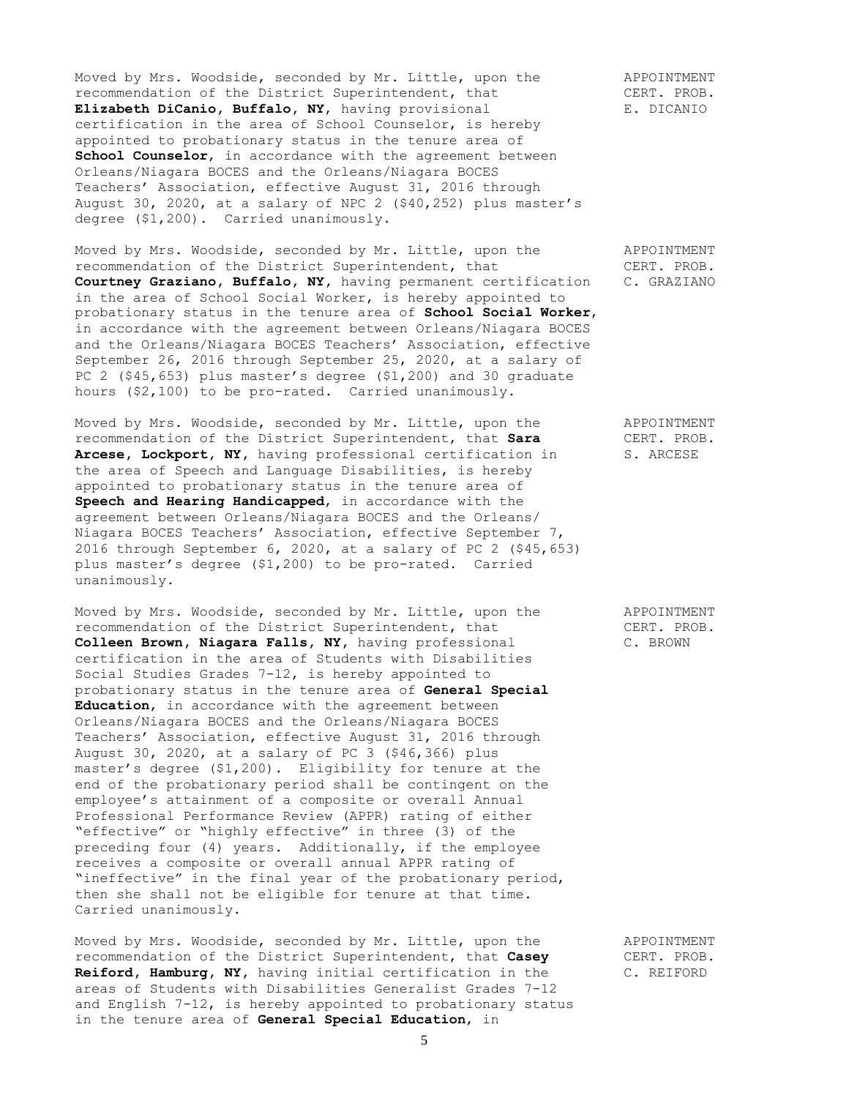Moved by Mrs. Woodside, seconded by Mr. Little, upon the APPOINTMENT recommendation of the District Superintendent, that<br> **Elizabeth DiCanio, Buffalo, NY,** having provisional E. DICANIO Elizabeth DiCanio, Buffalo, NY, having provisional certification in the area of School Counselor, is hereby appointed to probationary status in the tenure area of **School Counselor**, in accordance with the agreement between Orleans/Niagara BOCES and the Orleans/Niagara BOCES Teachers' Association, effective August 31, 2016 through August 30, 2020, at a salary of NPC 2 (\$40,252) plus master's degree (\$1,200). Carried unanimously.

Moved by Mrs. Woodside, seconded by Mr. Little, upon the APPOINTMENT recommendation of the District Superintendent, that CERT. PROB. **Courtney Graziano, Buffalo, NY,** having permanent certification C. GRAZIANO in the area of School Social Worker, is hereby appointed to probationary status in the tenure area of **School Social Worker**, in accordance with the agreement between Orleans/Niagara BOCES and the Orleans/Niagara BOCES Teachers' Association, effective September 26, 2016 through September 25, 2020, at a salary of PC 2 (\$45,653) plus master's degree (\$1,200) and 30 graduate hours (\$2,100) to be pro-rated. Carried unanimously.

Moved by Mrs. Woodside, seconded by Mr. Little, upon the APPOINTMENT recommendation of the District Superintendent, that **Sara** CERT. PROB. Arcese, Lockport, NY, having professional certification in S. ARCESE the area of Speech and Language Disabilities, is hereby appointed to probationary status in the tenure area of **Speech and Hearing Handicapped**, in accordance with the agreement between Orleans/Niagara BOCES and the Orleans/ Niagara BOCES Teachers' Association, effective September 7, 2016 through September 6, 2020, at a salary of PC 2 (\$45,653) plus master's degree (\$1,200) to be pro-rated. Carried unanimously.

Moved by Mrs. Woodside, seconded by Mr. Little, upon the APPOINTMENT recommendation of the District Superintendent, that CERT. PROB. **Colleen Brown, Niagara Falls, NY,** having professional C. BROWN certification in the area of Students with Disabilities Social Studies Grades 7-12, is hereby appointed to probationary status in the tenure area of **General Special Education**, in accordance with the agreement between Orleans/Niagara BOCES and the Orleans/Niagara BOCES Teachers' Association, effective August 31, 2016 through August 30, 2020, at a salary of PC 3 (\$46,366) plus master's degree (\$1,200). Eligibility for tenure at the end of the probationary period shall be contingent on the employee's attainment of a composite or overall Annual Professional Performance Review (APPR) rating of either "effective" or "highly effective" in three (3) of the preceding four (4) years. Additionally, if the employee receives a composite or overall annual APPR rating of "ineffective" in the final year of the probationary period, then she shall not be eligible for tenure at that time. Carried unanimously.

Moved by Mrs. Woodside, seconded by Mr. Little, upon the APPOINTMENT recommendation of the District Superintendent, that **Casey** CERT. PROB. Reiford, Hamburg, NY, having initial certification in the C. REIFORD areas of Students with Disabilities Generalist Grades 7-12 and English 7-12, is hereby appointed to probationary status in the tenure area of **General Special Education**, in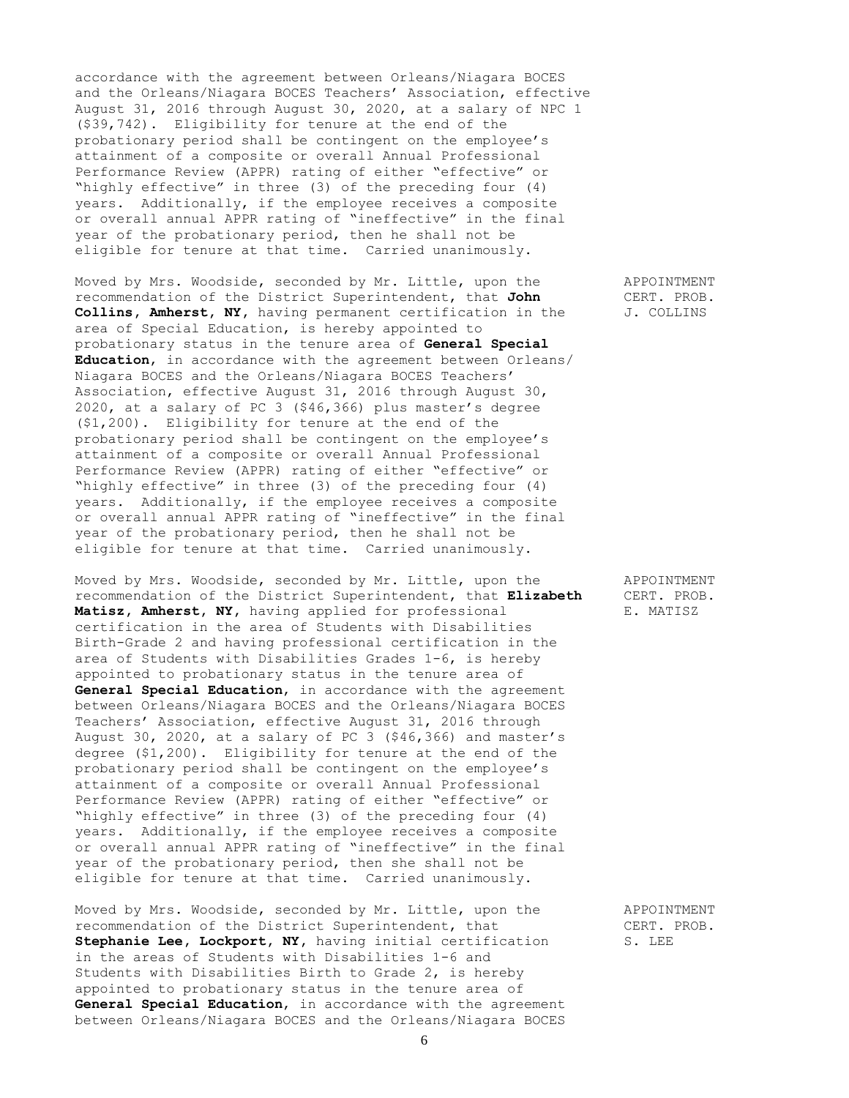accordance with the agreement between Orleans/Niagara BOCES and the Orleans/Niagara BOCES Teachers' Association, effective August 31, 2016 through August 30, 2020, at a salary of NPC 1 (\$39,742). Eligibility for tenure at the end of the probationary period shall be contingent on the employee's attainment of a composite or overall Annual Professional Performance Review (APPR) rating of either "effective" or "highly effective" in three (3) of the preceding four (4) years. Additionally, if the employee receives a composite or overall annual APPR rating of "ineffective" in the final year of the probationary period, then he shall not be eligible for tenure at that time. Carried unanimously.

Moved by Mrs. Woodside, seconded by Mr. Little, upon the APPOINTMENT recommendation of the District Superintendent, that **John** CERT. PROB. **Collins, Amherst, NY,** having permanent certification in the J. COLLINS area of Special Education, is hereby appointed to probationary status in the tenure area of **General Special Education**, in accordance with the agreement between Orleans/ Niagara BOCES and the Orleans/Niagara BOCES Teachers' Association, effective August 31, 2016 through August 30, 2020, at a salary of PC 3 (\$46,366) plus master's degree (\$1,200). Eligibility for tenure at the end of the probationary period shall be contingent on the employee's attainment of a composite or overall Annual Professional Performance Review (APPR) rating of either "effective" or "highly effective" in three (3) of the preceding four (4) years. Additionally, if the employee receives a composite or overall annual APPR rating of "ineffective" in the final year of the probationary period, then he shall not be eligible for tenure at that time. Carried unanimously.

Moved by Mrs. Woodside, seconded by Mr. Little, upon the APPOINTMENT recommendation of the District Superintendent, that **Elizabeth** CERT. PROB. Matisz, Amherst, NY, having applied for professional E. MATISZ certification in the area of Students with Disabilities Birth-Grade 2 and having professional certification in the area of Students with Disabilities Grades 1-6, is hereby appointed to probationary status in the tenure area of **General Special Education**, in accordance with the agreement between Orleans/Niagara BOCES and the Orleans/Niagara BOCES Teachers' Association, effective August 31, 2016 through August 30, 2020, at a salary of PC 3 (\$46,366) and master's degree (\$1,200). Eligibility for tenure at the end of the probationary period shall be contingent on the employee's attainment of a composite or overall Annual Professional Performance Review (APPR) rating of either "effective" or "highly effective" in three (3) of the preceding four (4) years. Additionally, if the employee receives a composite or overall annual APPR rating of "ineffective" in the final year of the probationary period, then she shall not be eligible for tenure at that time. Carried unanimously.

Moved by Mrs. Woodside, seconded by Mr. Little, upon the APPOINTMENT recommendation of the District Superintendent, that CERT. PROB. **Stephanie Lee, Lockport, NY, having initial certification S. LEE** in the areas of Students with Disabilities 1-6 and Students with Disabilities Birth to Grade 2, is hereby appointed to probationary status in the tenure area of **General Special Education**, in accordance with the agreement between Orleans/Niagara BOCES and the Orleans/Niagara BOCES

6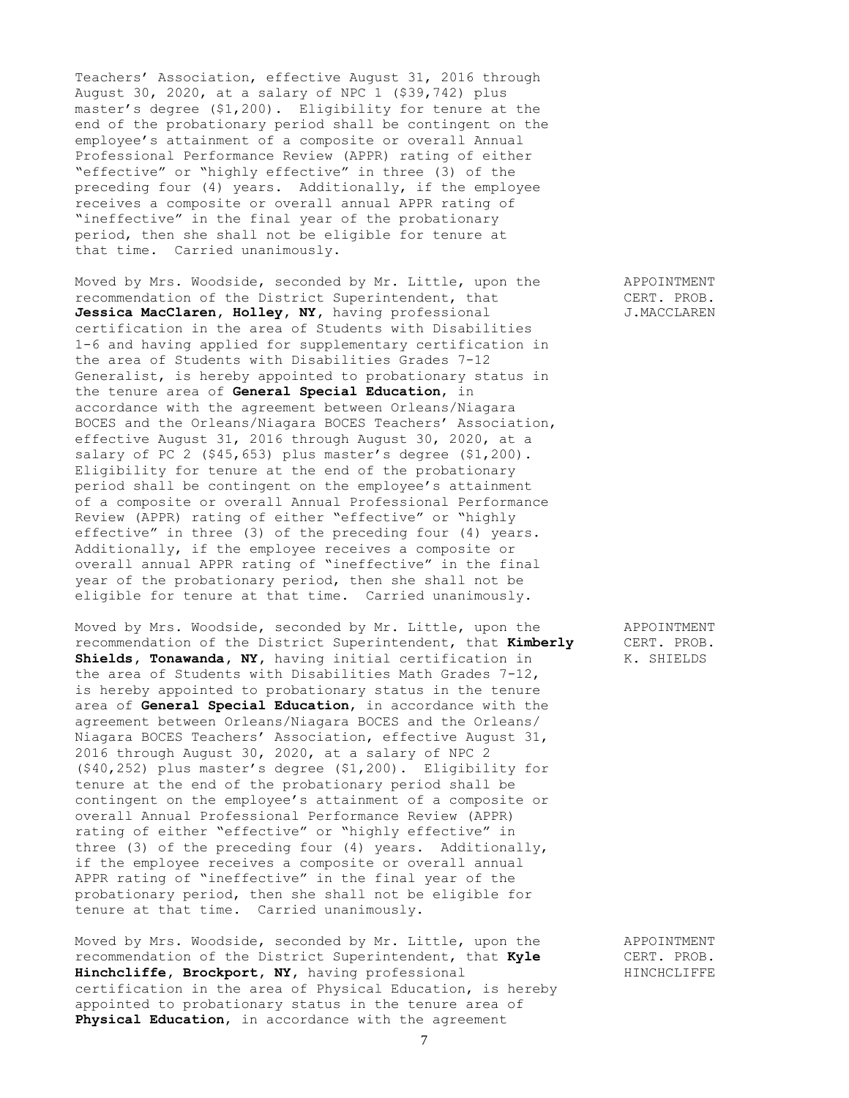Teachers' Association, effective August 31, 2016 through August 30, 2020, at a salary of NPC 1 (\$39,742) plus master's degree (\$1,200). Eligibility for tenure at the end of the probationary period shall be contingent on the employee's attainment of a composite or overall Annual Professional Performance Review (APPR) rating of either "effective" or "highly effective" in three (3) of the preceding four (4) years. Additionally, if the employee receives a composite or overall annual APPR rating of "ineffective" in the final year of the probationary period, then she shall not be eligible for tenure at that time. Carried unanimously.

Moved by Mrs. Woodside, seconded by Mr. Little, upon the APPOINTMENT recommendation of the District Superintendent, that CERT. PROB. Jessica MacClaren, Holley, NY, having professional J.MACCLAREN certification in the area of Students with Disabilities 1-6 and having applied for supplementary certification in the area of Students with Disabilities Grades 7-12 Generalist, is hereby appointed to probationary status in the tenure area of **General Special Education**, in accordance with the agreement between Orleans/Niagara BOCES and the Orleans/Niagara BOCES Teachers' Association, effective August 31, 2016 through August 30, 2020, at a salary of PC 2 (\$45,653) plus master's degree (\$1,200). Eligibility for tenure at the end of the probationary period shall be contingent on the employee's attainment of a composite or overall Annual Professional Performance Review (APPR) rating of either "effective" or "highly effective" in three (3) of the preceding four (4) years. Additionally, if the employee receives a composite or overall annual APPR rating of "ineffective" in the final year of the probationary period, then she shall not be eligible for tenure at that time. Carried unanimously.

Moved by Mrs. Woodside, seconded by Mr. Little, upon the APPOINTMENT recommendation of the District Superintendent, that **Kimberly** CERT. PROB. **Shields, Tonawanda, NY,** having initial certification in K. SHIELDS the area of Students with Disabilities Math Grades 7-12, is hereby appointed to probationary status in the tenure area of **General Special Education**, in accordance with the agreement between Orleans/Niagara BOCES and the Orleans/ Niagara BOCES Teachers' Association, effective August 31, 2016 through August 30, 2020, at a salary of NPC 2 (\$40,252) plus master's degree (\$1,200). Eligibility for tenure at the end of the probationary period shall be contingent on the employee's attainment of a composite or overall Annual Professional Performance Review (APPR) rating of either "effective" or "highly effective" in three (3) of the preceding four (4) years. Additionally, if the employee receives a composite or overall annual APPR rating of "ineffective" in the final year of the probationary period, then she shall not be eligible for tenure at that time. Carried unanimously.

Moved by Mrs. Woodside, seconded by Mr. Little, upon the APPOINTMENT recommendation of the District Superintendent, that **Kyle** CERT. PROB. Hinchcliffe, Brockport, NY, having professional **HINCHCLIFFE** certification in the area of Physical Education, is hereby appointed to probationary status in the tenure area of **Physical Education**, in accordance with the agreement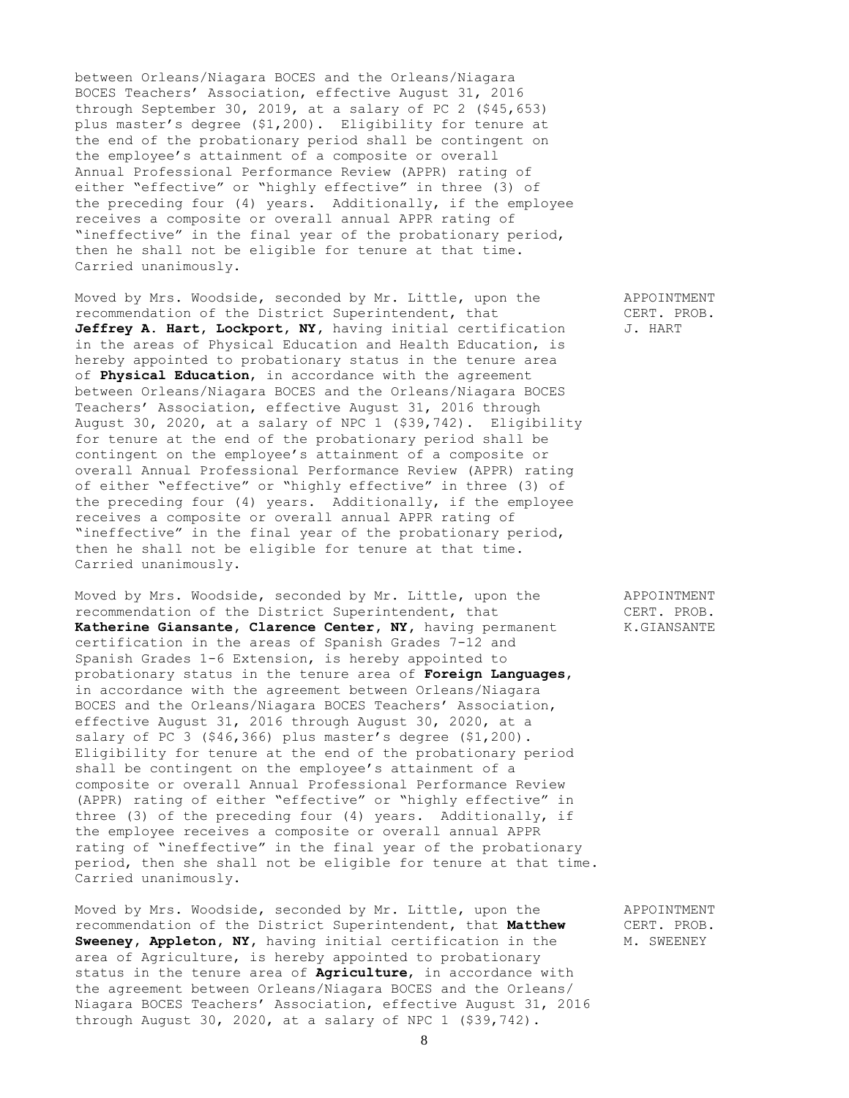between Orleans/Niagara BOCES and the Orleans/Niagara BOCES Teachers' Association, effective August 31, 2016 through September 30, 2019, at a salary of PC 2 (\$45,653) plus master's degree (\$1,200). Eligibility for tenure at the end of the probationary period shall be contingent on the employee's attainment of a composite or overall Annual Professional Performance Review (APPR) rating of either "effective" or "highly effective" in three (3) of the preceding four (4) years. Additionally, if the employee receives a composite or overall annual APPR rating of "ineffective" in the final year of the probationary period, then he shall not be eligible for tenure at that time. Carried unanimously.

Moved by Mrs. Woodside, seconded by Mr. Little, upon the APPOINTMENT recommendation of the District Superintendent, that CERT. PROB. Jeffrey A. Hart, Lockport, NY, having initial certification J. HART in the areas of Physical Education and Health Education, is hereby appointed to probationary status in the tenure area of **Physical Education**, in accordance with the agreement between Orleans/Niagara BOCES and the Orleans/Niagara BOCES Teachers' Association, effective August 31, 2016 through August 30, 2020, at a salary of NPC 1 (\$39,742). Eligibility for tenure at the end of the probationary period shall be contingent on the employee's attainment of a composite or overall Annual Professional Performance Review (APPR) rating of either "effective" or "highly effective" in three (3) of the preceding four (4) years. Additionally, if the employee receives a composite or overall annual APPR rating of "ineffective" in the final year of the probationary period, then he shall not be eligible for tenure at that time. Carried unanimously.

Moved by Mrs. Woodside, seconded by Mr. Little, upon the APPOINTMENT recommendation of the District Superintendent, that CERT. PROB. Katherine Giansante, Clarence Center, NY, having permanent K.GIANSANTE certification in the areas of Spanish Grades 7-12 and Spanish Grades 1-6 Extension, is hereby appointed to probationary status in the tenure area of **Foreign Languages**, in accordance with the agreement between Orleans/Niagara BOCES and the Orleans/Niagara BOCES Teachers' Association, effective August 31, 2016 through August 30, 2020, at a salary of PC 3 (\$46,366) plus master's degree (\$1,200). Eligibility for tenure at the end of the probationary period shall be contingent on the employee's attainment of a composite or overall Annual Professional Performance Review (APPR) rating of either "effective" or "highly effective" in three (3) of the preceding four (4) years. Additionally, if the employee receives a composite or overall annual APPR rating of "ineffective" in the final year of the probationary period, then she shall not be eligible for tenure at that time. Carried unanimously.

Moved by Mrs. Woodside, seconded by Mr. Little, upon the APPOINTMENT recommendation of the District Superintendent, that **Matthew** CERT. PROB. **Sweeney, Appleton, NY, having initial certification in the M. SWEENEY** area of Agriculture, is hereby appointed to probationary status in the tenure area of **Agriculture**, in accordance with the agreement between Orleans/Niagara BOCES and the Orleans/ Niagara BOCES Teachers' Association, effective August 31, 2016 through August 30, 2020, at a salary of NPC 1 (\$39,742).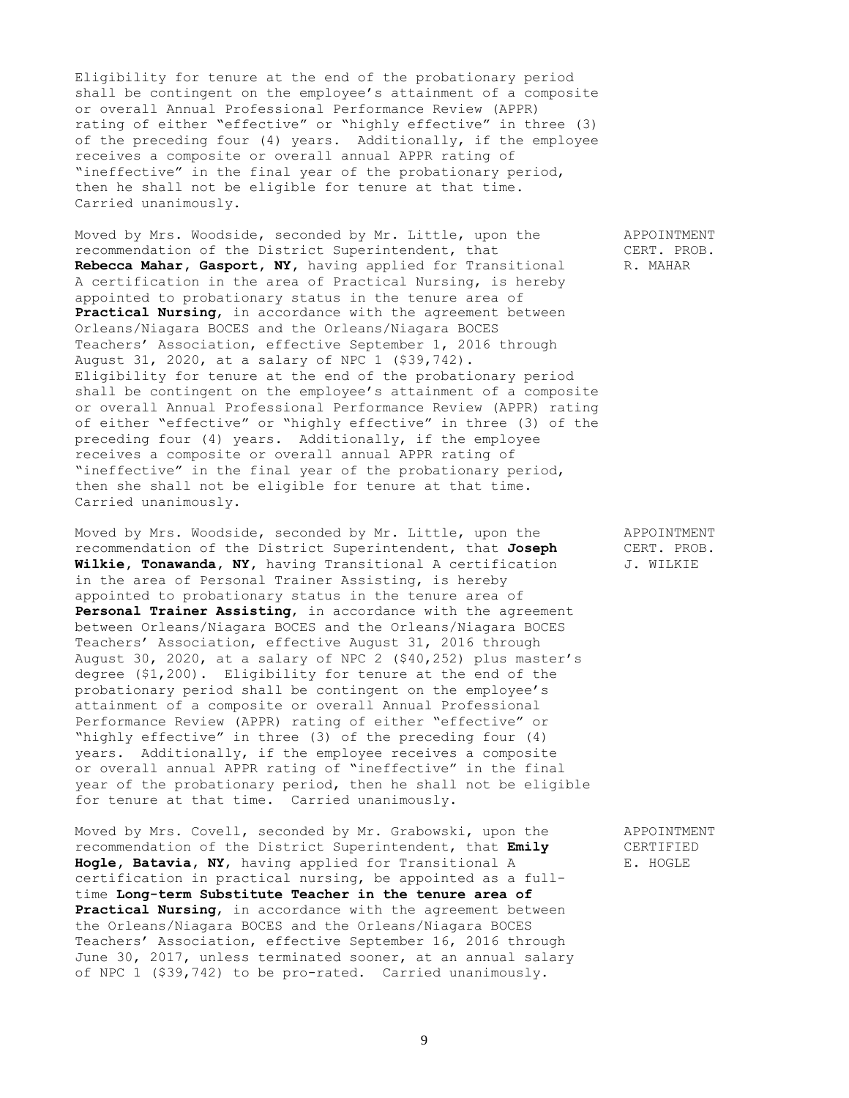Eligibility for tenure at the end of the probationary period shall be contingent on the employee's attainment of a composite or overall Annual Professional Performance Review (APPR) rating of either "effective" or "highly effective" in three (3) of the preceding four (4) years. Additionally, if the employee receives a composite or overall annual APPR rating of "ineffective" in the final year of the probationary period, then he shall not be eligible for tenure at that time. Carried unanimously.

Moved by Mrs. Woodside, seconded by Mr. Little, upon the APPOINTMENT recommendation of the District Superintendent, that CERT. PROB. Rebecca Mahar, Gasport, NY, having applied for Transitional R. MAHAR A certification in the area of Practical Nursing, is hereby appointed to probationary status in the tenure area of **Practical Nursing**, in accordance with the agreement between Orleans/Niagara BOCES and the Orleans/Niagara BOCES Teachers' Association, effective September 1, 2016 through August 31, 2020, at a salary of NPC 1 (\$39,742). Eligibility for tenure at the end of the probationary period shall be contingent on the employee's attainment of a composite or overall Annual Professional Performance Review (APPR) rating of either "effective" or "highly effective" in three (3) of the preceding four (4) years. Additionally, if the employee receives a composite or overall annual APPR rating of "ineffective" in the final year of the probationary period, then she shall not be eligible for tenure at that time. Carried unanimously.

Moved by Mrs. Woodside, seconded by Mr. Little, upon the APPOINTMENT<br>recommendation of the District Superintendent, that Joseph (CERT. PROB. recommendation of the District Superintendent, that **Joseph** CERT. PRO.<br>**Wilkie, Tonawanda, NY**, having Transitional A certification J. WILKIE Wilkie, Tonawanda, NY, having Transitional A certification in the area of Personal Trainer Assisting, is hereby appointed to probationary status in the tenure area of Personal Trainer Assisting, in accordance with the agreement between Orleans/Niagara BOCES and the Orleans/Niagara BOCES Teachers' Association, effective August 31, 2016 through August 30, 2020, at a salary of NPC 2 (\$40,252) plus master's degree (\$1,200). Eligibility for tenure at the end of the probationary period shall be contingent on the employee's attainment of a composite or overall Annual Professional Performance Review (APPR) rating of either "effective" or "highly effective" in three (3) of the preceding four (4) years. Additionally, if the employee receives a composite or overall annual APPR rating of "ineffective" in the final year of the probationary period, then he shall not be eligible for tenure at that time. Carried unanimously.

Moved by Mrs. Covell, seconded by Mr. Grabowski, upon the APPOINTMENT recommendation of the District Superintendent, that **Emily** CERTIFIED **Hogle, Batavia, NY**, having applied for Transitional A E. HOGLE certification in practical nursing, be appointed as a fulltime **Long-term Substitute Teacher in the tenure area of Practical Nursing**, in accordance with the agreement between the Orleans/Niagara BOCES and the Orleans/Niagara BOCES Teachers' Association, effective September 16, 2016 through June 30, 2017, unless terminated sooner, at an annual salary of NPC 1 (\$39,742) to be pro-rated. Carried unanimously.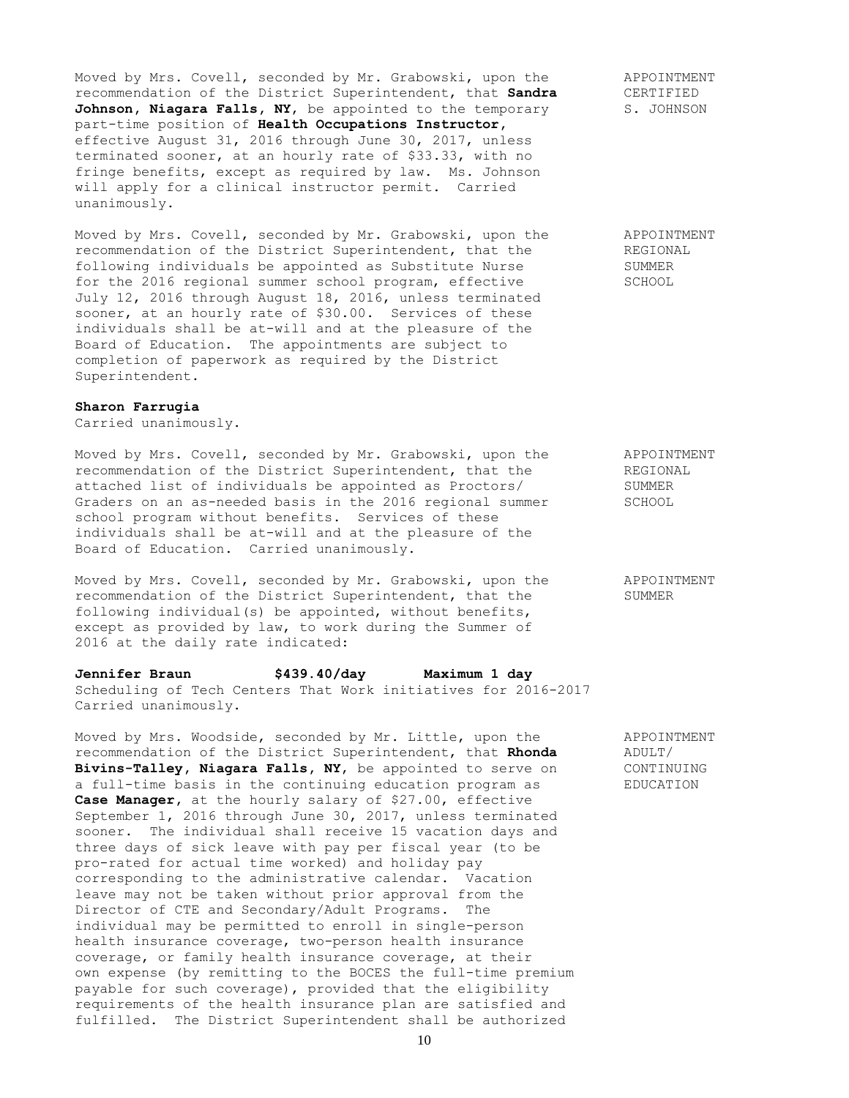Moved by Mrs. Covell, seconded by Mr. Grabowski, upon the APPOINTMENT recommendation of the District Superintendent, that **Sandra** CERTIFIED Johnson, Niagara Falls, NY, be appointed to the temporary S. JOHNSON part-time position of **Health Occupations Instructor,**  effective August 31, 2016 through June 30, 2017, unless terminated sooner, at an hourly rate of \$33.33, with no fringe benefits, except as required by law. Ms. Johnson will apply for a clinical instructor permit. Carried unanimously.

Moved by Mrs. Covell, seconded by Mr. Grabowski, upon the APPOINTMENT recommendation of the District Superintendent, that the REGIONAL following individuals be appointed as Substitute Nurse SUMMER for the 2016 regional summer school program, effective SCHOOL July 12, 2016 through August 18, 2016, unless terminated sooner, at an hourly rate of \$30.00. Services of these individuals shall be at-will and at the pleasure of the Board of Education. The appointments are subject to completion of paperwork as required by the District Superintendent.

## **Sharon Farrugia**

Carried unanimously.

Moved by Mrs. Covell, seconded by Mr. Grabowski, upon the APPOINTMENT<br>recommendation of the District Superintendent, that the REGIONAL recommendation of the District Superintendent, that the attached list of individuals be appointed as Proctors/ SUMMER Graders on an as-needed basis in the 2016 regional summer SCHOOL school program without benefits. Services of these individuals shall be at-will and at the pleasure of the Board of Education. Carried unanimously.

Moved by Mrs. Covell, seconded by Mr. Grabowski, upon the APPOINTMENT recommendation of the District Superintendent, that the SUMMER following individual(s) be appointed, without benefits, except as provided by law, to work during the Summer of 2016 at the daily rate indicated:

**Jennifer Braun \$439.40/day Maximum 1 day** Scheduling of Tech Centers That Work initiatives for 2016-2017 Carried unanimously.

Moved by Mrs. Woodside, seconded by Mr. Little, upon the APPOINTMENT recommendation of the District Superintendent, that **Rhonda** ADULT/ recommendation of the District Superintendent, that Rhonda **Bivins-Talley, Niagara Falls, NY,** be appointed to serve on CONTINUING a full-time basis in the continuing education program as EDUCATION **Case Manager,** at the hourly salary of \$27.00, effective September 1, 2016 through June 30, 2017, unless terminated sooner. The individual shall receive 15 vacation days and three days of sick leave with pay per fiscal year (to be pro-rated for actual time worked) and holiday pay corresponding to the administrative calendar. Vacation leave may not be taken without prior approval from the Director of CTE and Secondary/Adult Programs. The individual may be permitted to enroll in single-person health insurance coverage, two-person health insurance coverage, or family health insurance coverage, at their own expense (by remitting to the BOCES the full-time premium payable for such coverage), provided that the eligibility requirements of the health insurance plan are satisfied and fulfilled. The District Superintendent shall be authorized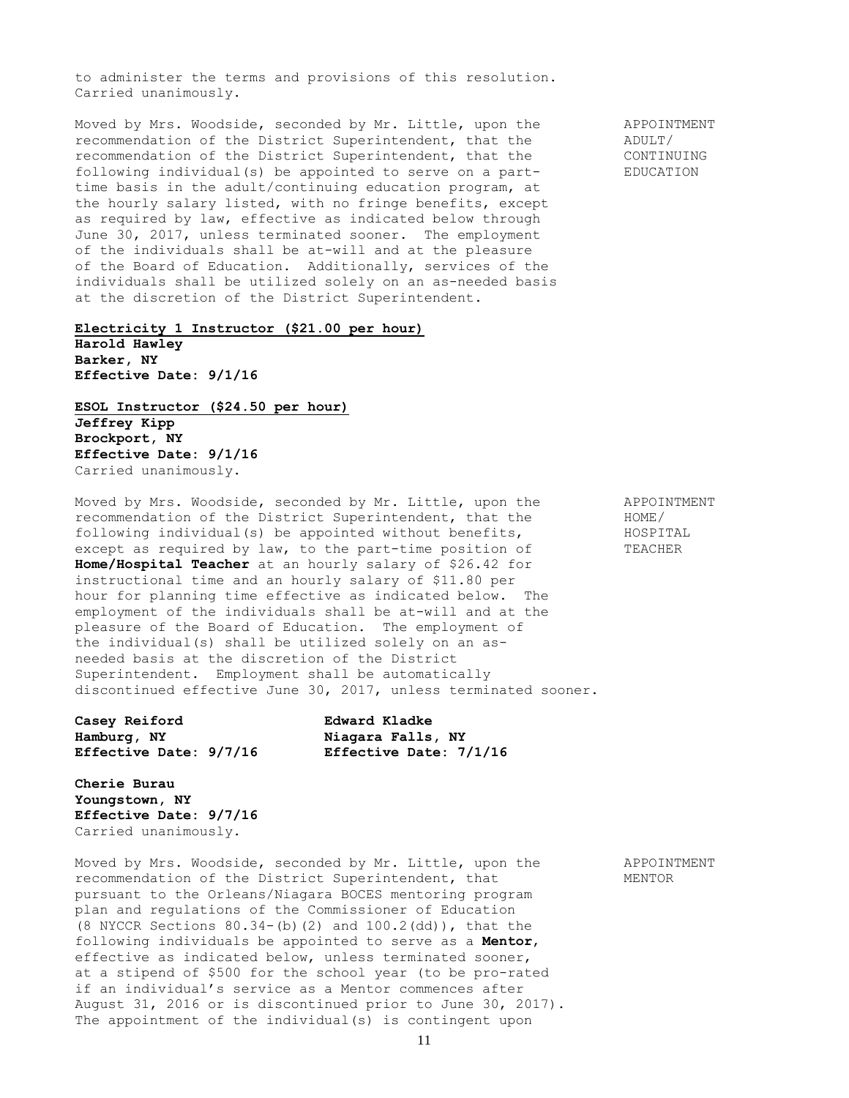to administer the terms and provisions of this resolution. Carried unanimously.

Moved by Mrs. Woodside, seconded by Mr. Little, upon the APPOINTMENT<br>recommendation of the District Superintendent, that the ADULT/ recommendation of the District Superintendent, that the recommendation of the District Superintendent, that the CONTINUING following individual(s) be appointed to serve on a part- EDUCATION time basis in the adult/continuing education program, at the hourly salary listed, with no fringe benefits, except as required by law, effective as indicated below through June 30, 2017, unless terminated sooner. The employment of the individuals shall be at-will and at the pleasure of the Board of Education. Additionally, services of the individuals shall be utilized solely on an as-needed basis at the discretion of the District Superintendent.

**Electricity 1 Instructor (\$21.00 per hour) Harold Hawley Barker, NY Effective Date: 9/1/16**

**ESOL Instructor (\$24.50 per hour) Jeffrey Kipp Brockport, NY Effective Date: 9/1/16** Carried unanimously.

Moved by Mrs. Woodside, seconded by Mr. Little, upon the APPOINTMENT recommendation of the District Superintendent, that the HOME/ following individual(s) be appointed without benefits, HOSPITAL except as required by law, to the part-time position of TEACHER **Home/Hospital Teacher** at an hourly salary of \$26.42 for instructional time and an hourly salary of \$11.80 per hour for planning time effective as indicated below. The employment of the individuals shall be at-will and at the pleasure of the Board of Education. The employment of the individual(s) shall be utilized solely on an asneeded basis at the discretion of the District Superintendent. Employment shall be automatically discontinued effective June 30, 2017, unless terminated sooner.

**Casey Reiford Edward Kladke Hamburg, NY Niagara Falls, NY Effective Date: 9/7/16 Effective Date: 7/1/16**

**Cherie Burau Youngstown, NY Effective Date: 9/7/16** Carried unanimously.

Moved by Mrs. Woodside, seconded by Mr. Little, upon the APPOINTMENT recommendation of the District Superintendent, that MENTOR pursuant to the Orleans/Niagara BOCES mentoring program plan and regulations of the Commissioner of Education  $(8 \text{ NYCCR}$  Sections  $80.34-(b)(2)$  and  $100.2$ (dd)), that the following individuals be appointed to serve as a **Mentor**, effective as indicated below, unless terminated sooner, at a stipend of \$500 for the school year (to be pro-rated if an individual's service as a Mentor commences after August 31, 2016 or is discontinued prior to June 30, 2017). The appointment of the individual(s) is contingent upon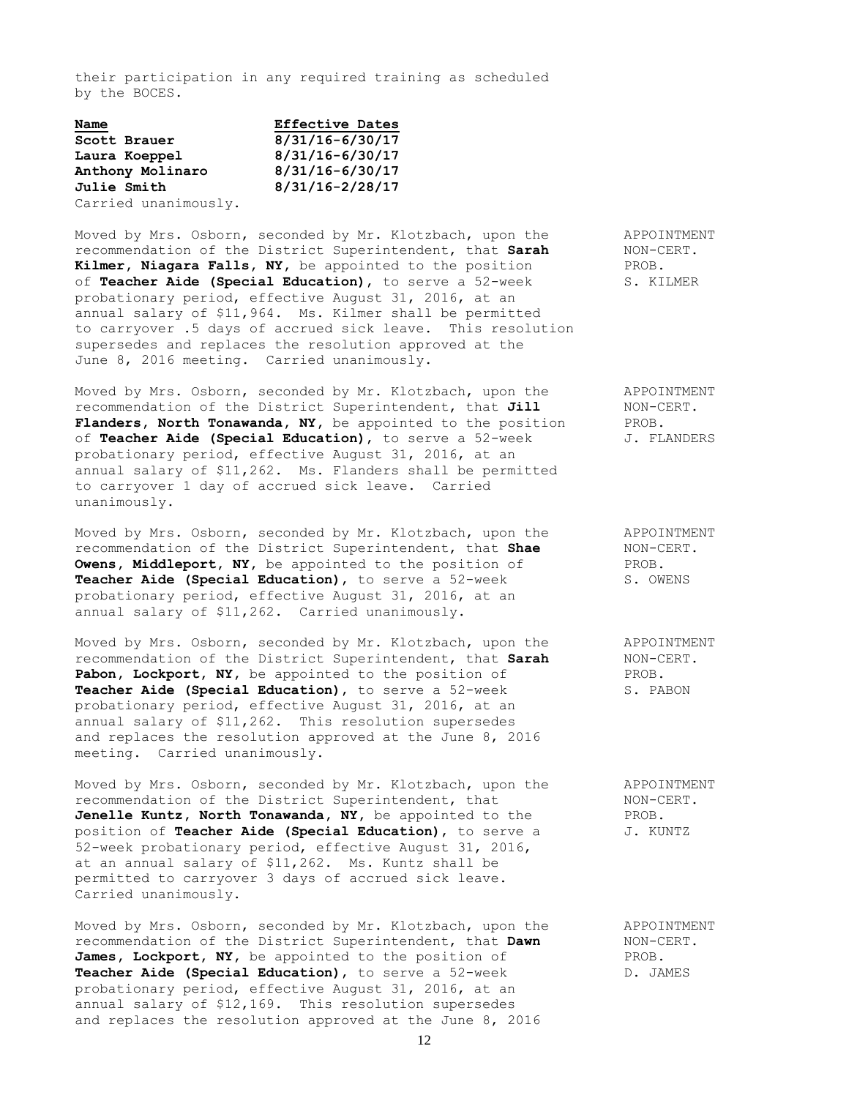their participation in any required training as scheduled by the BOCES.

| Name                 | <b>Effective Dates</b> |
|----------------------|------------------------|
| Scott Brauer         | $8/31/16 - 6/30/17$    |
| Laura Koeppel        | $8/31/16 - 6/30/17$    |
| Anthony Molinaro     | $8/31/16 - 6/30/17$    |
| <b>Julie Smith</b>   | $8/31/16 - 2/28/17$    |
| Carried unanimously. |                        |

Moved by Mrs. Osborn, seconded by Mr. Klotzbach, upon the APPOINTMENT recommendation of the District Superintendent, that **Sarah** NON-CERT. Kilmer, Niagara Falls, NY, be appointed to the position PROB. of **Teacher Aide (Special Education)**, to serve a 52-week S. KILMER probationary period, effective August 31, 2016, at an annual salary of \$11,964. Ms. Kilmer shall be permitted to carryover .5 days of accrued sick leave. This resolution supersedes and replaces the resolution approved at the June 8, 2016 meeting. Carried unanimously.

Moved by Mrs. Osborn, seconded by Mr. Klotzbach, upon the APPOINTMENT recommendation of the District Superintendent, that **Jill** NON-CERT. Flanders, North Tonawanda, NY, be appointed to the position PROB. of **Teacher Aide (Special Education)**, to serve a 52-week J. FLANDERS probationary period, effective August 31, 2016, at an annual salary of \$11,262. Ms. Flanders shall be permitted to carryover 1 day of accrued sick leave. Carried unanimously.

Moved by Mrs. Osborn, seconded by Mr. Klotzbach, upon the APPOINTMENT recommendation of the District Superintendent, that **Shae** NON-CERT. recommendation of the District Superintendent, that Shae **Owens, Middleport, NY,** be appointed to the position of PROB. **Teacher Aide (Special Education)**, to serve a 52-week S. OWENS probationary period, effective August 31, 2016, at an annual salary of \$11,262. Carried unanimously.

Moved by Mrs. Osborn, seconded by Mr. Klotzbach, upon the APPOINTMENT recommendation of the District Superintendent, that **Sarah** NON-CERT. Pabon, Lockport, NY, be appointed to the position of PROB. **Teacher Aide (Special Education)**, to serve a 52-week S. PABON probationary period, effective August 31, 2016, at an annual salary of \$11,262. This resolution supersedes and replaces the resolution approved at the June 8, 2016 meeting. Carried unanimously.

Moved by Mrs. Osborn, seconded by Mr. Klotzbach, upon the APPOINTMENT recommendation of the District Superintendent, that NON-CERT. **Jenelle Kuntz, North Tonawanda, NY,** be appointed to the PROB. position of **Teacher Aide (Special Education)**, to serve a  $J$ . KUNTZ 52-week probationary period, effective August 31, 2016, at an annual salary of \$11,262. Ms. Kuntz shall be permitted to carryover 3 days of accrued sick leave. Carried unanimously.

Moved by Mrs. Osborn, seconded by Mr. Klotzbach, upon the APPOINTMENT recommendation of the District Superintendent, that **Dawn** NON-CERT. James, Lockport, NY, be appointed to the position of PROB. **Teacher Aide (Special Education),** to serve a 52-week D. JAMES probationary period, effective August 31, 2016, at an annual salary of \$12,169. This resolution supersedes and replaces the resolution approved at the June 8, 2016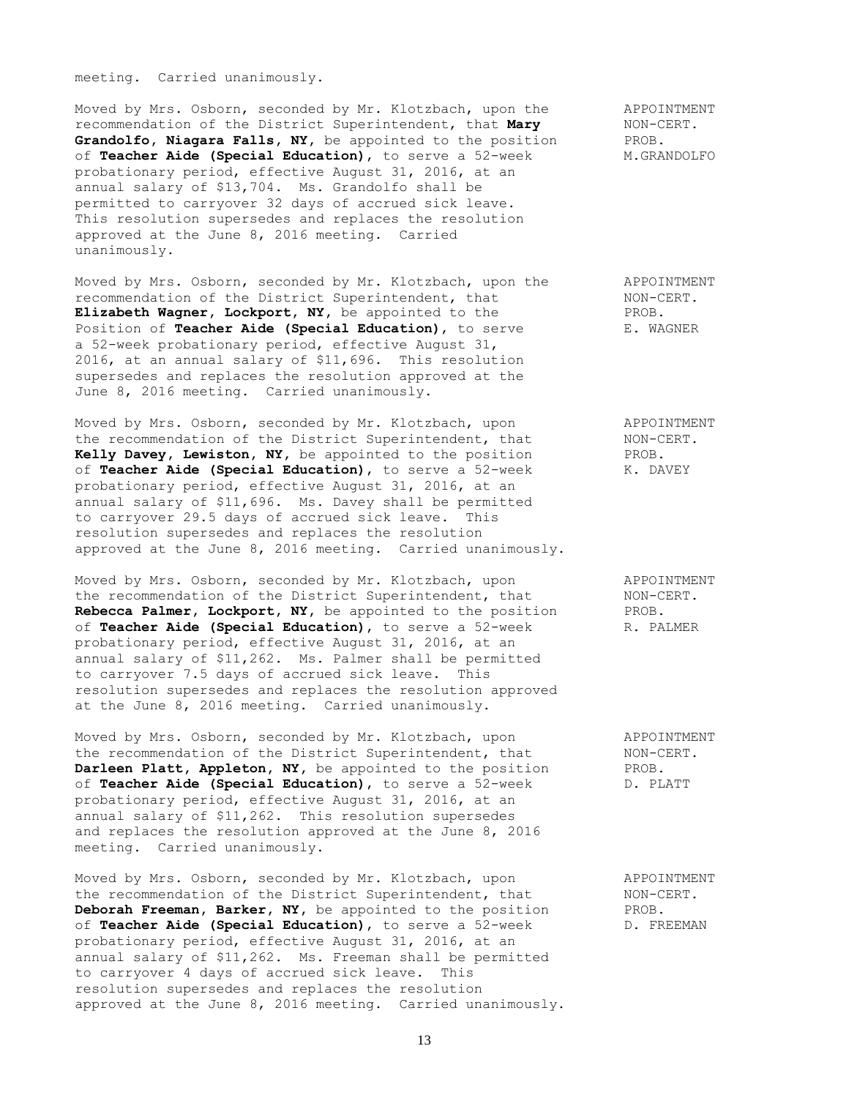meeting. Carried unanimously.

Moved by Mrs. Osborn, seconded by Mr. Klotzbach, upon the APPOINTMENT recommendation of the District Superintendent, that **Mary** MON-CERT. recommendation of the District Superintendent, that **Mary** NON-C<sub>i</sub><br>Grandolfo, Niagara Falls, NY, be appointed to the position PROB. Grandolfo, Niagara Falls, NY, be appointed to the position of **Teacher Aide (Special Education)**, to serve a 52-week M.GRANDOLFO probationary period, effective August 31, 2016, at an annual salary of \$13,704. Ms. Grandolfo shall be permitted to carryover 32 days of accrued sick leave. This resolution supersedes and replaces the resolution approved at the June 8, 2016 meeting. Carried unanimously.

Moved by Mrs. Osborn, seconded by Mr. Klotzbach, upon the APPOINTMENT recommendation of the District Superintendent, that NON-CERT. Elizabeth Wagner, Lockport, NY, be appointed to the PROB.<br>Position of Teacher Aide (Special Education), to serve E. WAGNER Position of **Teacher Aide (Special Education)**, to serve a 52-week probationary period, effective August 31, 2016, at an annual salary of \$11,696. This resolution supersedes and replaces the resolution approved at the June 8, 2016 meeting. Carried unanimously.

Moved by Mrs. Osborn, seconded by Mr. Klotzbach, upon APPOINTMENT the recommendation of the District Superintendent, that  $NON-CERT$ . **Kelly Davey, Lewiston, NY,** be appointed to the position PROB. of **Teacher Aide (Special Education)**, to serve a 52-week K. DAVEY probationary period, effective August 31, 2016, at an annual salary of \$11,696. Ms. Davey shall be permitted to carryover 29.5 days of accrued sick leave. This resolution supersedes and replaces the resolution approved at the June 8, 2016 meeting. Carried unanimously.

Moved by Mrs. Osborn, seconded by Mr. Klotzbach, upon APPOINTMENT the recommendation of the District Superintendent, that NON-CERT. **Rebecca Palmer, Lockport, NY,** be appointed to the position PROB. of **Teacher Aide (Special Education)**, to serve a 52-week R. PALMER probationary period, effective August 31, 2016, at an annual salary of \$11,262. Ms. Palmer shall be permitted to carryover 7.5 days of accrued sick leave. This resolution supersedes and replaces the resolution approved at the June 8, 2016 meeting. Carried unanimously.

Moved by Mrs. Osborn, seconded by Mr. Klotzbach, upon appointment APPOINTMENT<br>the recommendation of the District Superintendent, that MON-CERT. the recommendation of the District Superintendent, that **Darleen Platt, Appleton, NY,** be appointed to the position PROB. of **Teacher Aide (Special Education)**, to serve a 52-week D. PLATT probationary period, effective August 31, 2016, at an annual salary of \$11,262. This resolution supersedes and replaces the resolution approved at the June 8, 2016 meeting. Carried unanimously.

Moved by Mrs. Osborn, seconded by Mr. Klotzbach, upon appoint APPOINTMENT<br>the recommendation of the District Superintendent, that MON-CERT. the recommendation of the District Superintendent, that **Deborah Freeman, Barker, NY,** be appointed to the position PROB. of **Teacher Aide (Special Education)**, to serve a 52-week D. FREEMAN probationary period, effective August 31, 2016, at an annual salary of \$11,262. Ms. Freeman shall be permitted to carryover 4 days of accrued sick leave. This resolution supersedes and replaces the resolution approved at the June 8, 2016 meeting. Carried unanimously.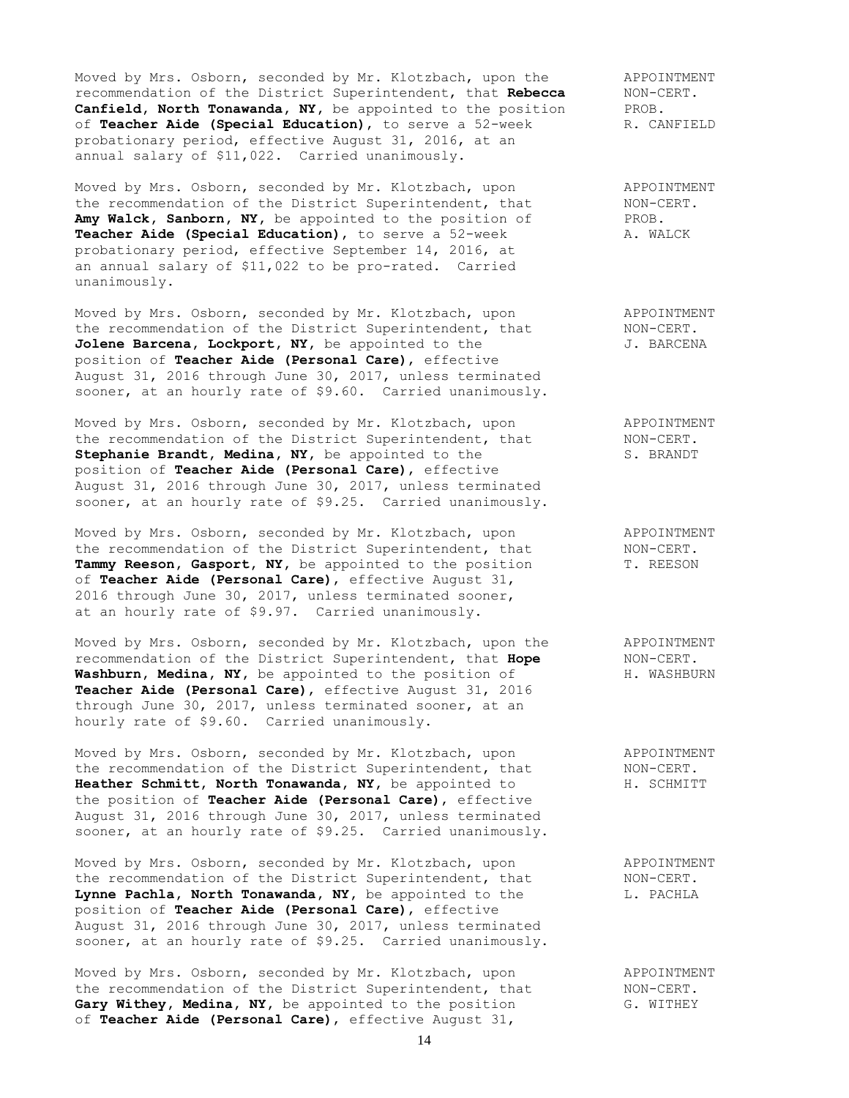Moved by Mrs. Osborn, seconded by Mr. Klotzbach, upon the APPOINTMENT recommendation of the District Superintendent, that **Rebecca** NON-CERT. **Canfield, North Tonawanda, NY,** be appointed to the position PROB.<br>
of **Teacher Aide (Special Education)**, to serve a 52-week R. CANFIELD of **Teacher Aide (Special Education)**, to serve a 52-week probationary period, effective August 31, 2016, at an annual salary of \$11,022. Carried unanimously.

Moved by Mrs. Osborn, seconded by Mr. Klotzbach, upon APPOINTMENT the recommendation of the District Superintendent, that MON-CERT.<br> **Amy Walck, Sanborn, NY,** be appointed to the position of PROB. Amy Walck, Sanborn, NY, be appointed to the position of PROB.<br>Teacher Aide (Special Education), to serve a 52-week A. WALCK Teacher Aide (Special Education), to serve a 52-week probationary period, effective September 14, 2016, at an annual salary of \$11,022 to be pro-rated. Carried unanimously.

Moved by Mrs. Osborn, seconded by Mr. Klotzbach, upon and APPOINTMENT the recommendation of the District Superintendent, that MON-CERT. the recommendation of the District Superintendent, that MON-CERT.<br>**Jolene Barcena, Lockport, NY**, be appointed to the J. BARCENA position of **Teacher Aide (Personal Care)**, effective August 31, 2016 through June 30, 2017, unless terminated sooner, at an hourly rate of \$9.60. Carried unanimously.

Moved by Mrs. Osborn, seconded by Mr. Klotzbach, upon appointment appointment the recommendation of the District Superintendent, that MON-CERT. the recommendation of the District Superintendent, that Stephanie Brandt, Medina, NY, be appointed to the S. BRANDT position of **Teacher Aide (Personal Care)**, effective August 31, 2016 through June 30, 2017, unless terminated sooner, at an hourly rate of \$9.25. Carried unanimously.

Moved by Mrs. Osborn, seconded by Mr. Klotzbach, upon appointment<br>the recommendation of the District Superintendent, that MON-CERT.<br>Tammy Reeson, Gasport, NY, be appointed to the position T. REESON the recommendation of the District Superintendent, that Tammy Reeson, Gasport, NY, be appointed to the position of **Teacher Aide (Personal Care)**, effective August 31, 2016 through June 30, 2017, unless terminated sooner, at an hourly rate of \$9.97. Carried unanimously.

Moved by Mrs. Osborn, seconded by Mr. Klotzbach, upon the APPOINTMENT recommendation of the District Superintendent, that **Hope** NON-CERT. recommendation of the District Superintendent, that Hope Washburn, Medina, NY, be appointed to the position of **H. WASHBURN Teacher Aide (Personal Care)**, effective August 31, 2016 through June 30, 2017, unless terminated sooner, at an hourly rate of \$9.60. Carried unanimously.

Moved by Mrs. Osborn, seconded by Mr. Klotzbach, upon and APPOINTMENT the recommendation of the District Superintendent, that MON-CERT. **Heather Schmitt, North Tonawanda, NY,** be appointed to **H. SCHMITT** the position of **Teacher Aide (Personal Care)**, effective August 31, 2016 through June 30, 2017, unless terminated sooner, at an hourly rate of \$9.25. Carried unanimously.

Moved by Mrs. Osborn, seconded by Mr. Klotzbach, upon APPOINTMENT the recommendation of the District Superintendent, that MON-CERT. Lynne Pachla, North Tonawanda, NY, be appointed to the L. PACHLA position of **Teacher Aide (Personal Care)**, effective August 31, 2016 through June 30, 2017, unless terminated sooner, at an hourly rate of \$9.25. Carried unanimously.

Moved by Mrs. Osborn, seconded by Mr. Klotzbach, upon and APPOINTMENT the recommendation of the District Superintendent, that MON-CERT. **Gary Withey, Medina, NY,** be appointed to the position G. WITHEY of **Teacher Aide (Personal Care)**, effective August 31,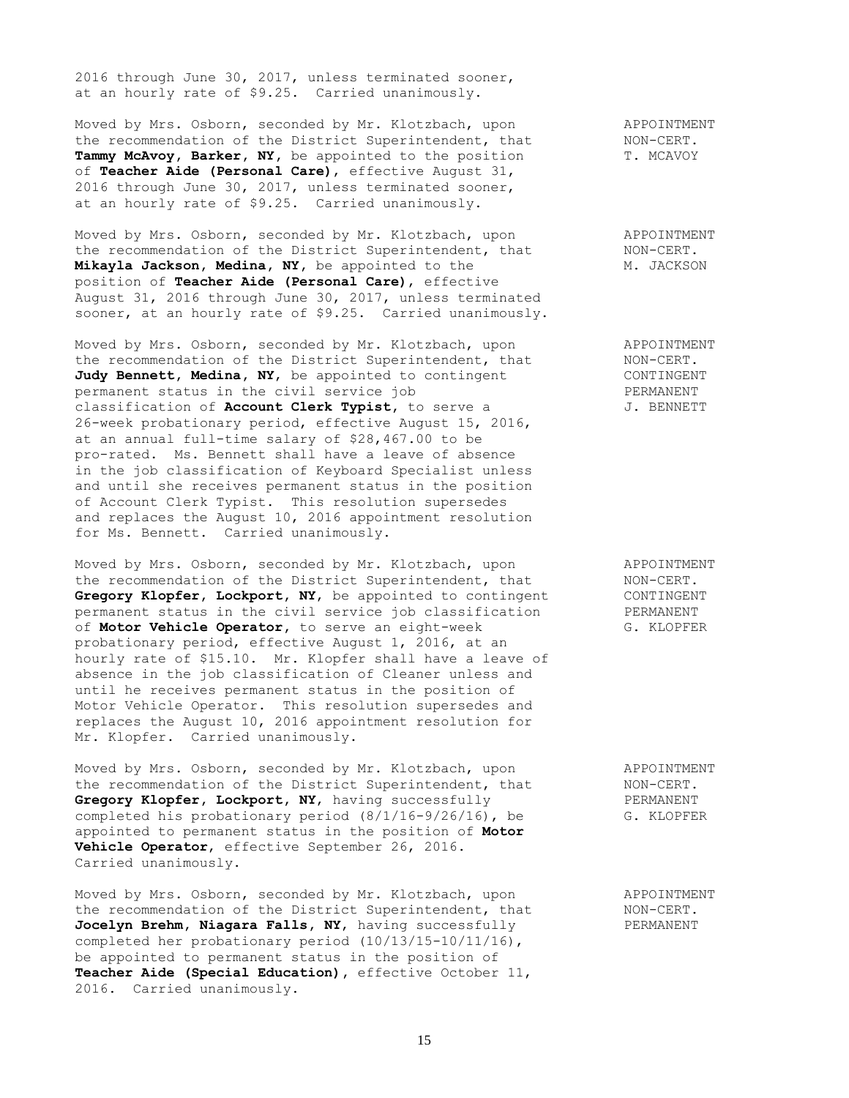2016 through June 30, 2017, unless terminated sooner, at an hourly rate of \$9.25. Carried unanimously.

Moved by Mrs. Osborn, seconded by Mr. Klotzbach, upon APPOINTMENT the recommendation of the District Superintendent, that MON-CERT. Tammy McAvoy, Barker, NY, be appointed to the position T. MCAVOY of **Teacher Aide (Personal Care)**, effective August 31, 2016 through June 30, 2017, unless terminated sooner, at an hourly rate of \$9.25. Carried unanimously.

Moved by Mrs. Osborn, seconded by Mr. Klotzbach, upon and APPOINTMENT<br>the recommendation of the District Superintendent, that MON-CERT. the recommendation of the District Superintendent, that **Mikayla Jackson, Medina, NY,** be appointed to the M. JACKSON position of **Teacher Aide (Personal Care)**, effective August 31, 2016 through June 30, 2017, unless terminated sooner, at an hourly rate of \$9.25. Carried unanimously.

Moved by Mrs. Osborn, seconded by Mr. Klotzbach, upon APPOINTMENT the recommendation of the District Superintendent, that MON-CERT. Judy Bennett, Medina, NY, be appointed to contingent CONTINGENT permanent status in the civil service job PERMANENT classification of **Account Clerk Typist**, to serve a  $J$ . BENNETT 26-week probationary period, effective August 15, 2016, at an annual full-time salary of \$28,467.00 to be pro-rated. Ms. Bennett shall have a leave of absence in the job classification of Keyboard Specialist unless and until she receives permanent status in the position of Account Clerk Typist. This resolution supersedes and replaces the August 10, 2016 appointment resolution for Ms. Bennett. Carried unanimously.

Moved by Mrs. Osborn, seconded by Mr. Klotzbach, upon and APPOINTMENT the recommendation of the District Superintendent, that MON-CERT. Gregory Klopfer, Lockport, NY, be appointed to contingent CONTINGENT permanent status in the civil service job classification PERMANENT of **Motor Vehicle Operator,** to serve an eight-week G. KLOPFER probationary period, effective August 1, 2016, at an hourly rate of \$15.10. Mr. Klopfer shall have a leave of absence in the job classification of Cleaner unless and until he receives permanent status in the position of Motor Vehicle Operator. This resolution supersedes and replaces the August 10, 2016 appointment resolution for Mr. Klopfer. Carried unanimously.

Moved by Mrs. Osborn, seconded by Mr. Klotzbach, upon appoint APPOINTMENT<br>the recommendation of the District Superintendent, that MON-CERT. the recommendation of the District Superintendent, that MON-CERT.<br> **Gregory Klopfer, Lockport, NY,** having successfully FERMANENT Gregory Klopfer, Lockport, NY, having successfully Gregory Klopfer, Lockport, NY, having successfully exampleted his probationary period  $(8/1/16-9/26/16)$ , be G. KLOPFER appointed to permanent status in the position of **Motor Vehicle Operator**, effective September 26, 2016. Carried unanimously.

Moved by Mrs. Osborn, seconded by Mr. Klotzbach, upon APPOINTMENT Moved by Mrs. Osborn, seconded by Mr. Klotzbach, upon a percommendation of the District Superintendent, that NON-CERT. **Jocelyn Brehm, Niagara Falls, NY, having successfully PERMANENT** completed her probationary period (10/13/15-10/11/16), be appointed to permanent status in the position of **Teacher Aide (Special Education),** effective October 11, 2016. Carried unanimously.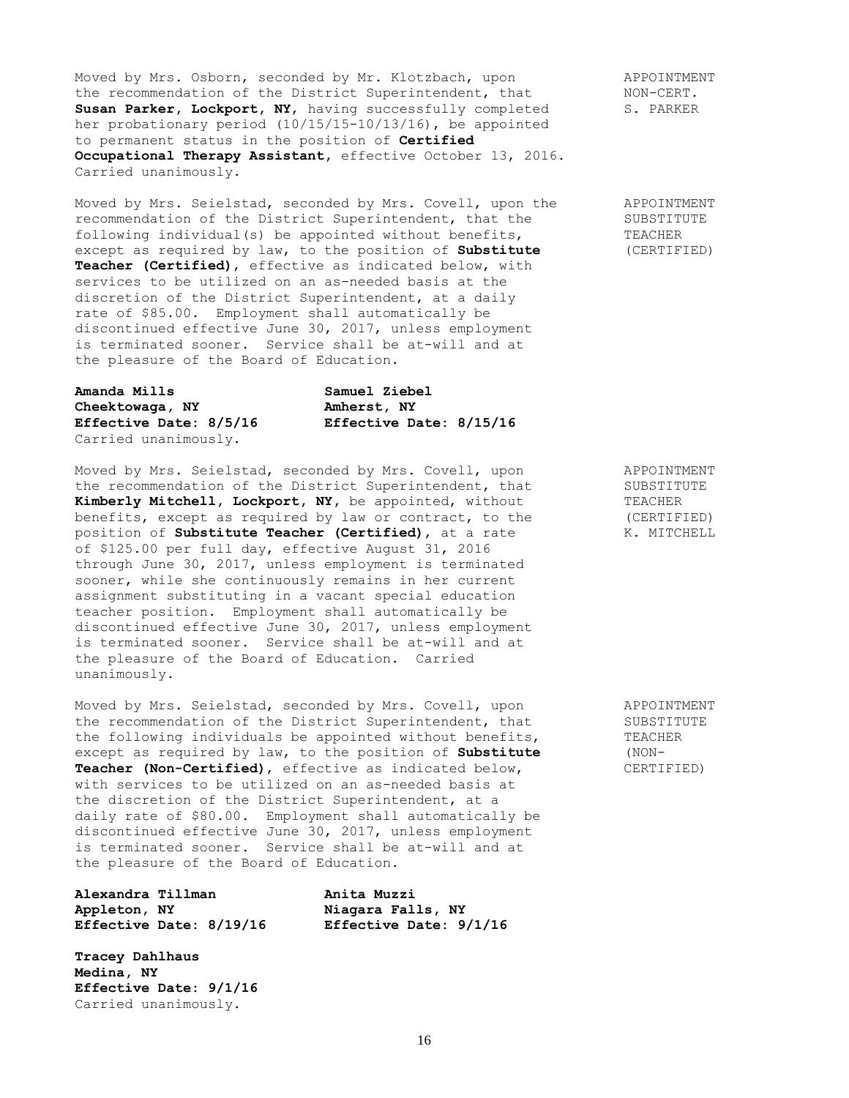Moved by Mrs. Osborn, seconded by Mr. Klotzbach, upon appointment APPOINTMENT<br>the recommendation of the District Superintendent, that MON-CERT. the recommendation of the District Superintendent, that MON-CERT.<br>
Susan Parker, Lockport, NY, having successfully completed S. PARKER Susan Parker, Lockport, NY, having successfully completed her probationary period (10/15/15-10/13/16), be appointed to permanent status in the position of **Certified Occupational Therapy Assistant,** effective October 13, 2016. Carried unanimously.

Moved by Mrs. Seielstad, seconded by Mrs. Covell, upon the APPOINTMENT recommendation of the District Superintendent, that the SUBSTITUTE following individual(s) be appointed without benefits, TEACHER except as required by law, to the position of **Substitute** (CERTIFIED) except as required by law, to the position of Substitute **Teacher (Certified)**, effective as indicated below, with services to be utilized on an as-needed basis at the discretion of the District Superintendent, at a daily rate of \$85.00. Employment shall automatically be discontinued effective June 30, 2017, unless employment is terminated sooner. Service shall be at-will and at the pleasure of the Board of Education.

| Amanda Mills           | Samuel Ziebel           |
|------------------------|-------------------------|
| Cheektowaga, NY        | Amherst, NY             |
| Effective Date: 8/5/16 | Effective Date: 8/15/16 |
| Carried unanimously.   |                         |

Moved by Mrs. Seielstad, seconded by Mrs. Covell, upon APPOINTMENT Moved by Mrs. Seleistad, seconded by Mrs. Covell, upon<br>the recommendation of the District Superintendent, that SUBSTITUTE Kimberly Mitchell, Lockport, NY, be appointed, without TEACHER benefits, except as required by law or contract, to the (CERTIFIED)<br>position of **Substitute Teacher (Certified)**, at a rate  $\blacksquare$  K. MITCHELL position of **Substitute Teacher (Certified)**, at a rate of \$125.00 per full day, effective August 31, 2016 through June 30, 2017, unless employment is terminated sooner, while she continuously remains in her current assignment substituting in a vacant special education teacher position. Employment shall automatically be discontinued effective June 30, 2017, unless employment is terminated sooner. Service shall be at-will and at the pleasure of the Board of Education. Carried unanimously.

Moved by Mrs. Seielstad, seconded by Mrs. Covell, upon APPOINTMENT the recommendation of the District Superintendent, that SUBSTITUTE the following individuals be appointed without benefits, TEACHER except as required by law, to the position of **Substitute** (NON-**Teacher (Non-Certified)**, effective as indicated below, CERTIFIED) with services to be utilized on an as-needed basis at the discretion of the District Superintendent, at a daily rate of \$80.00. Employment shall automatically be discontinued effective June 30, 2017, unless employment is terminated sooner. Service shall be at-will and at the pleasure of the Board of Education.

**Alexandra Tillman Anita Muzzi Appleton, NY Niagara Falls, NY Effective Date: 8/19/16 Effective Date: 9/1/16**

**Tracey Dahlhaus Medina, NY Effective Date: 9/1/16** Carried unanimously.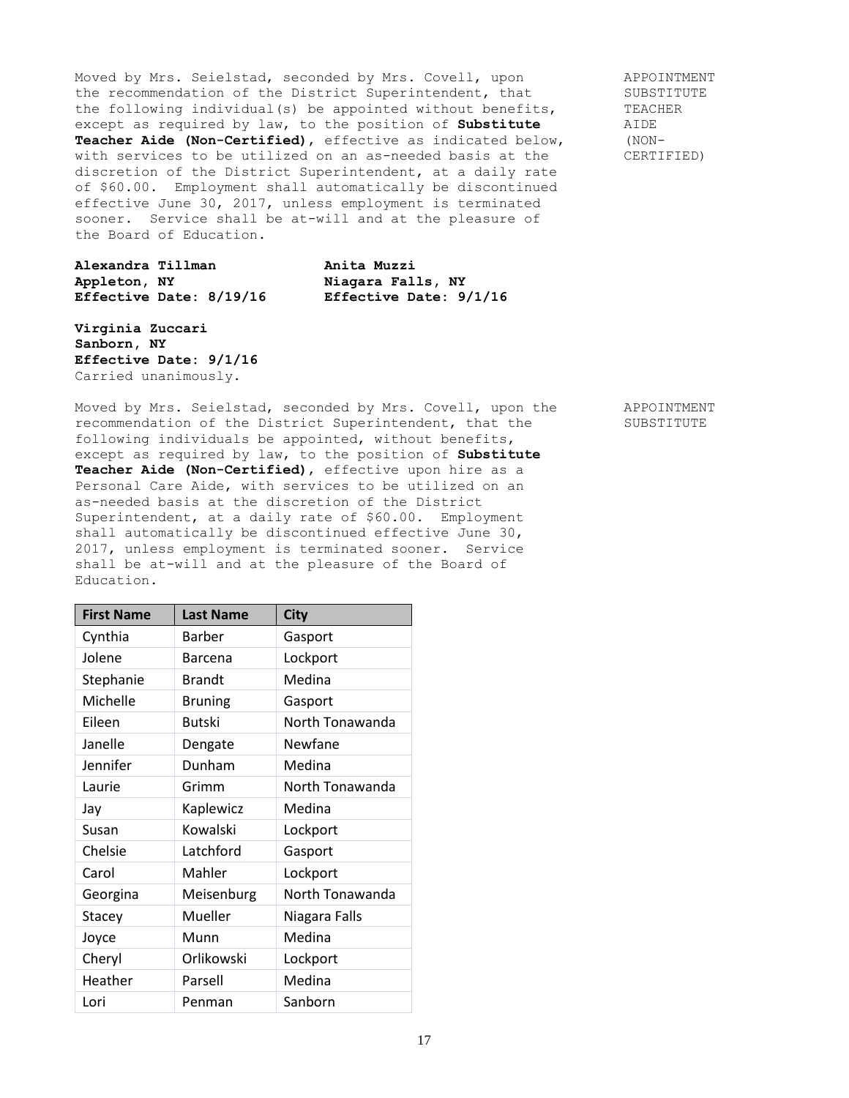Moved by Mrs. Seielstad, seconded by Mrs. Covell, upon APPOINTMENT the recommendation of the District Superintendent, that SUBSTITUTE<br>the following individual(s) be appointed without benefits, TEACHER the following individual(s) be appointed without benefits, TEACH<br>except as required by law, to the position of **Substitute** AIDE except as required by law, to the position of **Substitute** AIDE<br> **Teacher Aide (Non-Certified)**, effective as indicated below, (NON-Teacher Aide (Non-Certified), effective as indicated below, with services to be utilized on an as-needed basis at the CERTIFIED) discretion of the District Superintendent, at a daily rate of \$60.00. Employment shall automatically be discontinued effective June 30, 2017, unless employment is terminated sooner. Service shall be at-will and at the pleasure of the Board of Education.

**Alexandra Tillman Anita Muzzi Appleton, NY Niagara Falls, NY Effective Date: 8/19/16 Effective Date: 9/1/16**

**Virginia Zuccari Sanborn, NY Effective Date: 9/1/16** Carried unanimously.

Moved by Mrs. Seielstad, seconded by Mrs. Covell, upon the APPOINTMENT recommendation of the District Superintendent, that the SUBSTITUTE following individuals be appointed, without benefits, except as required by law, to the position of **Substitute Teacher Aide (Non-Certified)**, effective upon hire as a Personal Care Aide, with services to be utilized on an as-needed basis at the discretion of the District Superintendent, at a daily rate of \$60.00. Employment shall automatically be discontinued effective June 30, 2017, unless employment is terminated sooner. Service shall be at-will and at the pleasure of the Board of Education.

| <b>First Name</b> | <b>Last Name</b> | <b>City</b>     |
|-------------------|------------------|-----------------|
| Cynthia           | Barber           | Gasport         |
| Jolene            | Barcena          | Lockport        |
| Stephanie         | <b>Brandt</b>    | Medina          |
| Michelle          | <b>Bruning</b>   | Gasport         |
| Eileen            | <b>Butski</b>    | North Tonawanda |
| Janelle           | Dengate          | Newfane         |
| Jennifer          | Dunham           | Medina          |
| Laurie            | Grimm            | North Tonawanda |
| Jay               | Kaplewicz        | Medina          |
| Susan             | Kowalski         | Lockport        |
| Chelsie           | Latchford        | Gasport         |
| Carol             | Mahler           | Lockport        |
| Georgina          | Meisenburg       | North Tonawanda |
| Stacey            | Mueller          | Niagara Falls   |
| Joyce             | Munn             | Medina          |
| Cheryl            | Orlikowski       | Lockport        |
| Heather           | Parsell          | Medina          |
| Lori              | Penman           | Sanborn         |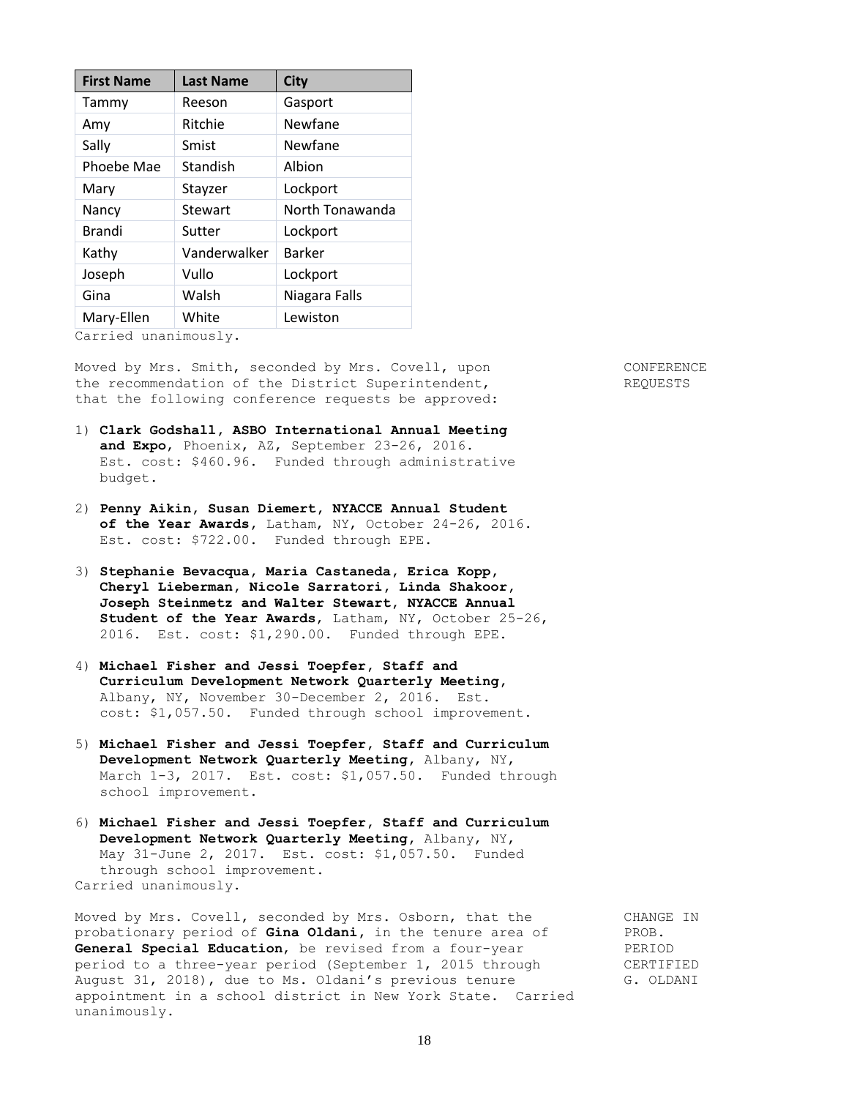| <b>First Name</b> | <b>Last Name</b> | <b>City</b>     |
|-------------------|------------------|-----------------|
| Tammy             | Reeson           | Gasport         |
| Amy               | Ritchie          | Newfane         |
| Sally             | Smist            | Newfane         |
| Phoebe Mae        | Standish         | Albion          |
| Mary              | Stayzer          | Lockport        |
| Nancy             | Stewart          | North Tonawanda |
| <b>Brandi</b>     | Sutter           | Lockport        |
| Kathy             | Vanderwalker     | <b>Barker</b>   |
| Joseph            | Vullo            | Lockport        |
| Gina              | Walsh            | Niagara Falls   |
| Mary-Ellen        | White            | Lewiston        |

Carried unanimously.

Moved by Mrs. Smith, seconded by Mrs. Covell, upon CONFERENCE the recommendation of the District Superintendent, The REQUESTS that the following conference requests be approved:

1) **Clark Godshall, ASBO International Annual Meeting and Expo**, Phoenix, AZ, September 23-26, 2016. Est. cost: \$460.96. Funded through administrative budget.

- 2) **Penny Aikin, Susan Diemert, NYACCE Annual Student of the Year Awards,** Latham, NY, October 24-26, 2016. Est. cost: \$722.00. Funded through EPE.
- 3) **Stephanie Bevacqua, Maria Castaneda, Erica Kopp, Cheryl Lieberman, Nicole Sarratori, Linda Shakoor, Joseph Steinmetz and Walter Stewart, NYACCE Annual Student of the Year Awards**, Latham, NY, October 25-26, 2016. Est. cost: \$1,290.00. Funded through EPE.
- 4) **Michael Fisher and Jessi Toepfer, Staff and Curriculum Development Network Quarterly Meeting,** Albany, NY, November 30-December 2, 2016. Est. cost: \$1,057.50. Funded through school improvement.
- 5) **Michael Fisher and Jessi Toepfer, Staff and Curriculum Development Network Quarterly Meeting,** Albany, NY, March 1-3, 2017. Est. cost: \$1,057.50. Funded through school improvement.
- 6) **Michael Fisher and Jessi Toepfer, Staff and Curriculum Development Network Quarterly Meeting,** Albany, NY, May 31-June 2, 2017. Est. cost: \$1,057.50. Funded through school improvement. Carried unanimously.

Moved by Mrs. Covell, seconded by Mrs. Osborn, that the CHANGE IN probationary period of **Gina Oldani,** in the tenure area of PROB. **General Special Education,** be revised from a four-year PERIOD period to a three-year period (September 1, 2015 through CERTIFIED August 31, 2018), due to Ms. Oldani's previous tenure G. OLDANI appointment in a school district in New York State. Carried unanimously.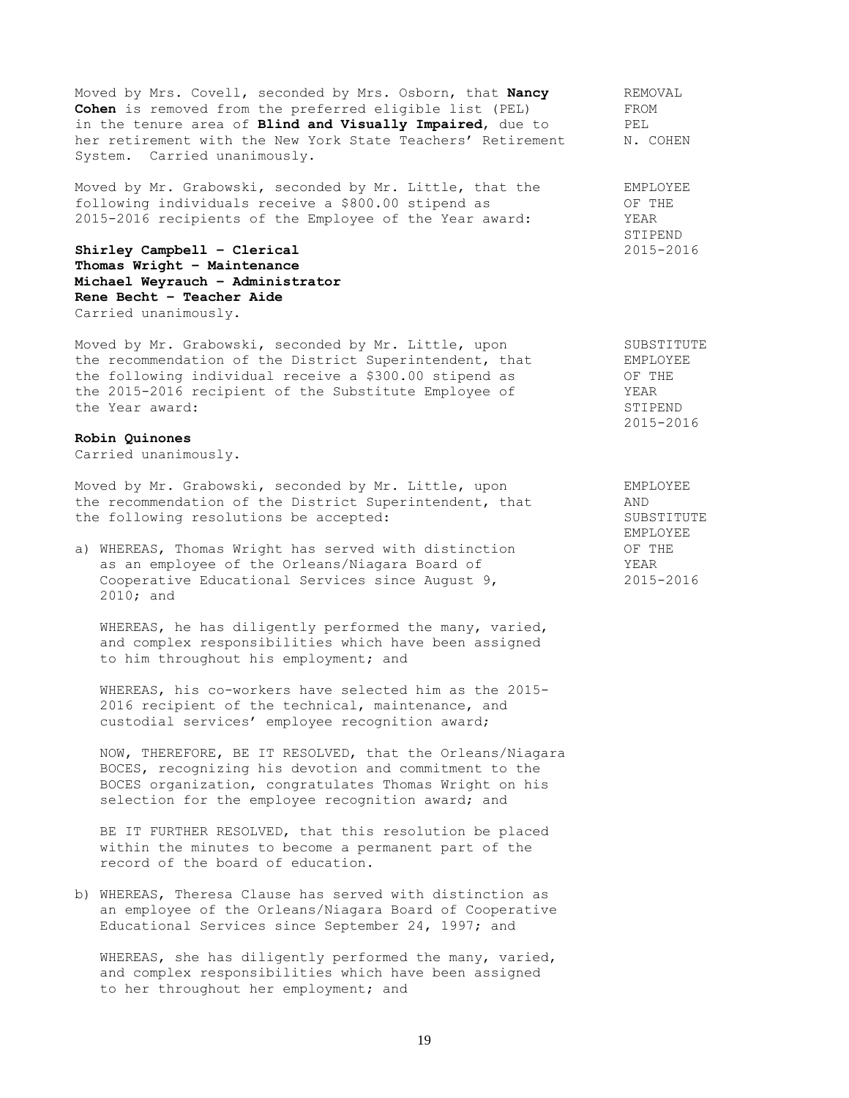Moved by Mrs. Covell, seconded by Mrs. Osborn, that **Nancy** REMOVAL<br> **Coben** is removed from the preferred eligible list (PEL) FROM Cohen is removed from the preferred eligible list (PEL) in the tenure area of **Blind and Visually Impaired**, due to PEL her retirement with the New York State Teachers' Retirement N. COHEN System. Carried unanimously.

Moved by Mr. Grabowski, seconded by Mr. Little, that the EMPLOYEE following individuals receive a \$800.00 stipend as  $O$ F THE 2015-2016 recipients of the Employee of the Year award: YEAR

**Shirley Campbell – Clerical** 2015-2016 **Thomas Wright – Maintenance Michael Weyrauch – Administrator Rene Becht – Teacher Aide** Carried unanimously.

Moved by Mr. Grabowski, seconded by Mr. Little, upon SUBSTITUTE Moved by Mr. Grabowski, seconded by Mr. Little, upon SUBSTITU<br>the recommendation of the District Superintendent, that EMPLOYEE the following individual receive a \$300.00 stipend as  $O$ F THE the 2015-2016 recipient of the Substitute Employee of YEAR the Year award: STIPEND

## **Robin Quinones**

Carried unanimously.

Moved by Mr. Grabowski, seconded by Mr. Little, upon EMPLOYEE the recommendation of the District Superintendent, that AND the following resolutions be accepted: SUBSTITUTE

a) WHEREAS, Thomas Wright has served with distinction OF THE as an employee of the Orleans/Niagara Board of YEAR Cooperative Educational Services since August 9, 2015-2016 2010; and

WHEREAS, he has diligently performed the many, varied, and complex responsibilities which have been assigned to him throughout his employment; and

WHEREAS, his co-workers have selected him as the 2015- 2016 recipient of the technical, maintenance, and custodial services' employee recognition award;

NOW, THEREFORE, BE IT RESOLVED, that the Orleans/Niagara BOCES, recognizing his devotion and commitment to the BOCES organization, congratulates Thomas Wright on his selection for the employee recognition award; and

BE IT FURTHER RESOLVED, that this resolution be placed within the minutes to become a permanent part of the record of the board of education.

b) WHEREAS, Theresa Clause has served with distinction as an employee of the Orleans/Niagara Board of Cooperative Educational Services since September 24, 1997; and

WHEREAS, she has diligently performed the many, varied, and complex responsibilities which have been assigned to her throughout her employment; and

STIPEND

2015-2016

EMPLOYEE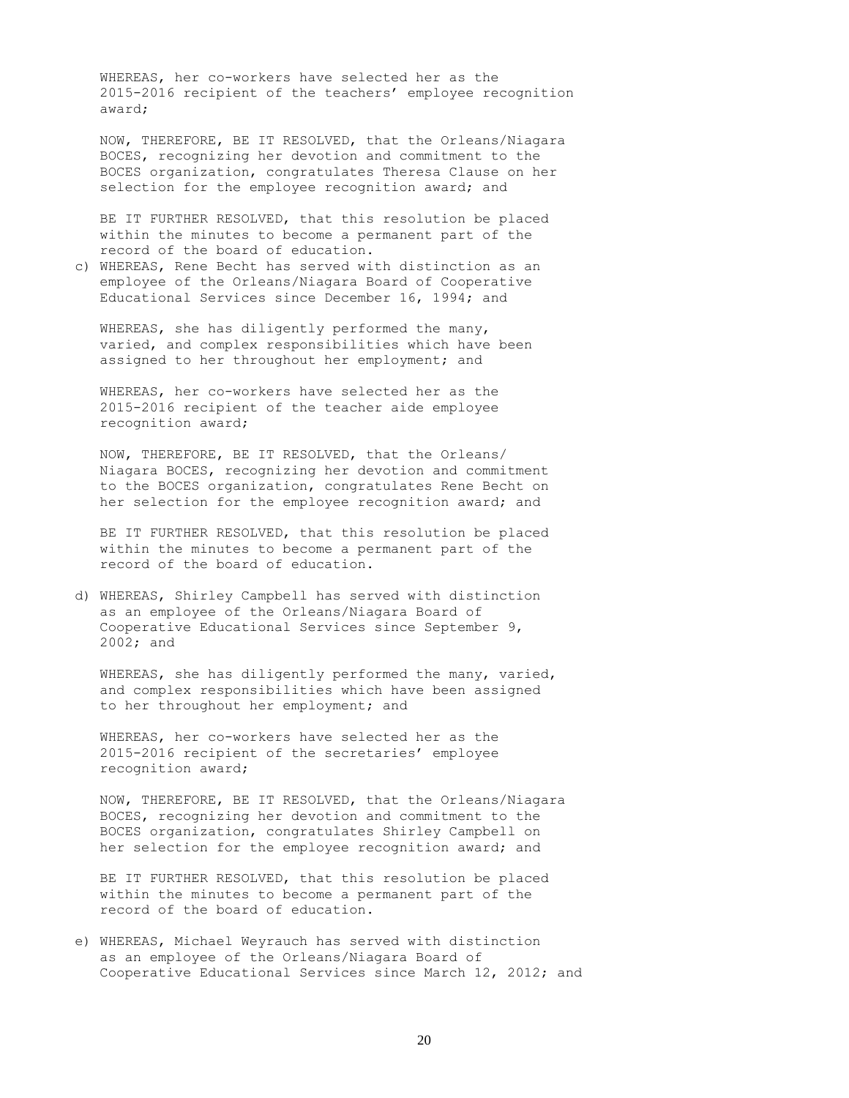WHEREAS, her co-workers have selected her as the 2015-2016 recipient of the teachers' employee recognition award;

NOW, THEREFORE, BE IT RESOLVED, that the Orleans/Niagara BOCES, recognizing her devotion and commitment to the BOCES organization, congratulates Theresa Clause on her selection for the employee recognition award; and

BE IT FURTHER RESOLVED, that this resolution be placed within the minutes to become a permanent part of the record of the board of education.

c) WHEREAS, Rene Becht has served with distinction as an employee of the Orleans/Niagara Board of Cooperative Educational Services since December 16, 1994; and

WHEREAS, she has diligently performed the many, varied, and complex responsibilities which have been assigned to her throughout her employment; and

WHEREAS, her co-workers have selected her as the 2015-2016 recipient of the teacher aide employee recognition award;

NOW, THEREFORE, BE IT RESOLVED, that the Orleans/ Niagara BOCES, recognizing her devotion and commitment to the BOCES organization, congratulates Rene Becht on her selection for the employee recognition award; and

BE IT FURTHER RESOLVED, that this resolution be placed within the minutes to become a permanent part of the record of the board of education.

d) WHEREAS, Shirley Campbell has served with distinction as an employee of the Orleans/Niagara Board of Cooperative Educational Services since September 9, 2002; and

WHEREAS, she has diligently performed the many, varied, and complex responsibilities which have been assigned to her throughout her employment; and

WHEREAS, her co-workers have selected her as the 2015-2016 recipient of the secretaries' employee recognition award;

NOW, THEREFORE, BE IT RESOLVED, that the Orleans/Niagara BOCES, recognizing her devotion and commitment to the BOCES organization, congratulates Shirley Campbell on her selection for the employee recognition award; and

BE IT FURTHER RESOLVED, that this resolution be placed within the minutes to become a permanent part of the record of the board of education.

e) WHEREAS, Michael Weyrauch has served with distinction as an employee of the Orleans/Niagara Board of Cooperative Educational Services since March 12, 2012; and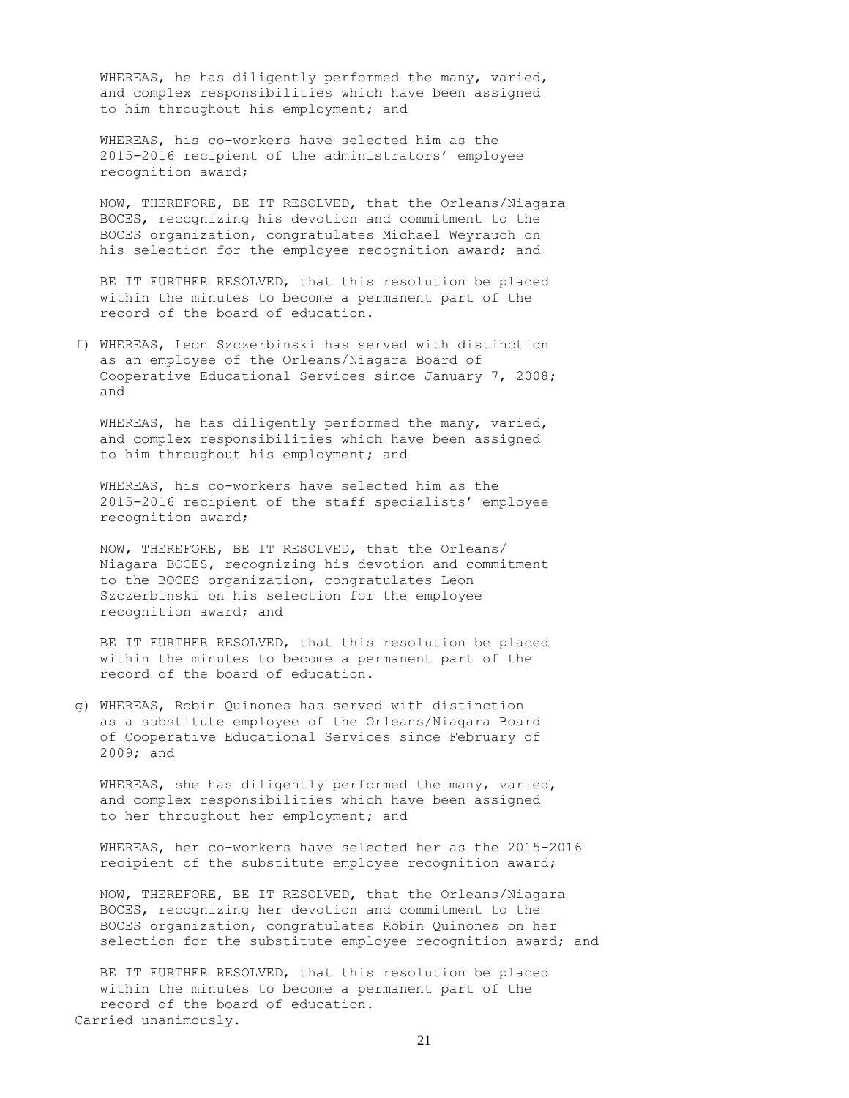WHEREAS, he has diligently performed the many, varied, and complex responsibilities which have been assigned to him throughout his employment; and

WHEREAS, his co-workers have selected him as the 2015-2016 recipient of the administrators' employee recognition award;

NOW, THEREFORE, BE IT RESOLVED, that the Orleans/Niagara BOCES, recognizing his devotion and commitment to the BOCES organization, congratulates Michael Weyrauch on his selection for the employee recognition award; and

BE IT FURTHER RESOLVED, that this resolution be placed within the minutes to become a permanent part of the record of the board of education.

f) WHEREAS, Leon Szczerbinski has served with distinction as an employee of the Orleans/Niagara Board of Cooperative Educational Services since January 7, 2008; and

WHEREAS, he has diligently performed the many, varied, and complex responsibilities which have been assigned to him throughout his employment; and

WHEREAS, his co-workers have selected him as the 2015-2016 recipient of the staff specialists' employee recognition award;

NOW, THEREFORE, BE IT RESOLVED, that the Orleans/ Niagara BOCES, recognizing his devotion and commitment to the BOCES organization, congratulates Leon Szczerbinski on his selection for the employee recognition award; and

BE IT FURTHER RESOLVED, that this resolution be placed within the minutes to become a permanent part of the record of the board of education.

g) WHEREAS, Robin Quinones has served with distinction as a substitute employee of the Orleans/Niagara Board of Cooperative Educational Services since February of 2009; and

WHEREAS, she has diligently performed the many, varied, and complex responsibilities which have been assigned to her throughout her employment; and

WHEREAS, her co-workers have selected her as the 2015-2016 recipient of the substitute employee recognition award;

NOW, THEREFORE, BE IT RESOLVED, that the Orleans/Niagara BOCES, recognizing her devotion and commitment to the BOCES organization, congratulates Robin Quinones on her selection for the substitute employee recognition award; and

BE IT FURTHER RESOLVED, that this resolution be placed within the minutes to become a permanent part of the record of the board of education. Carried unanimously.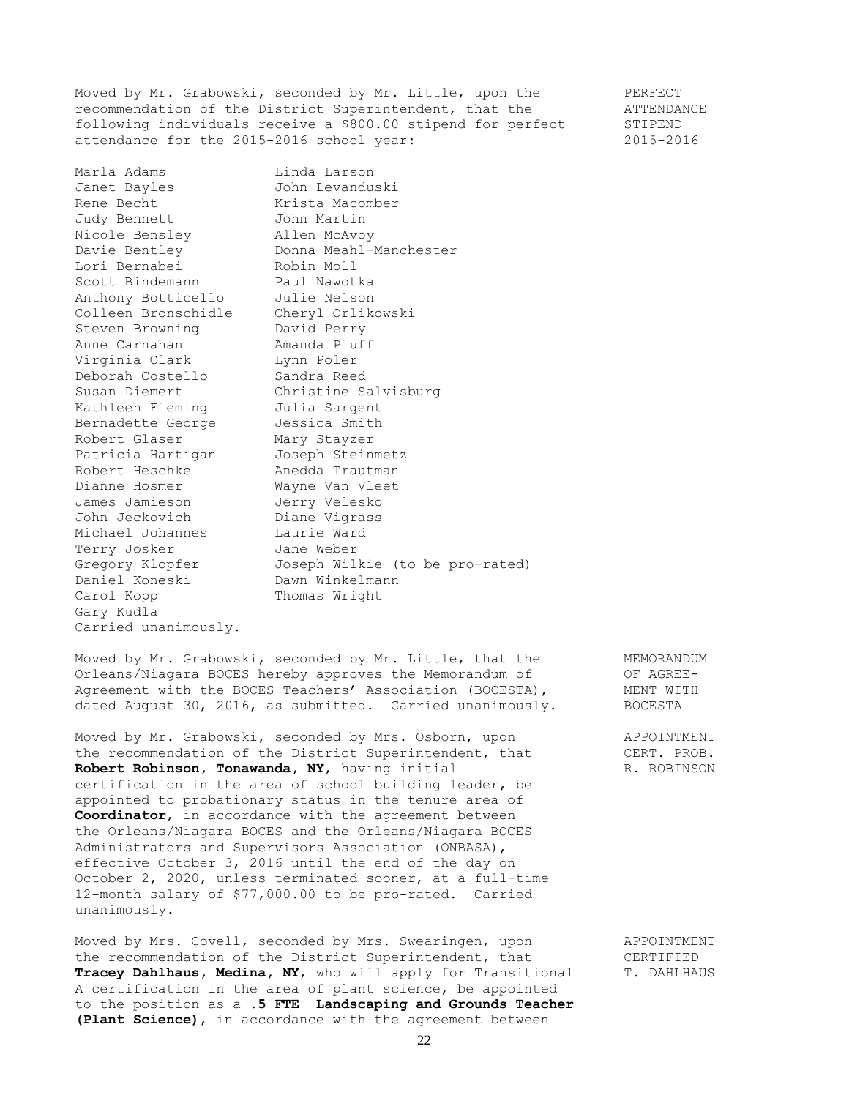Moved by Mr. Grabowski, seconded by Mr. Little, upon the PERFECT recommendation of the District Superintendent, that the  $\blacksquare$  ATTENDANCE following individuals receive a \$800.00 stipend for perfect STIPEND attendance for the 2015-2016 school year: 2015-2016

Marla Adams Linda Larson<br>
Janet Bayles John Levandu:<br>
Rene Becht Krista Macom Janet Bayles John Levanduski Rene Becht **Krista Macomber** Judy Bennett John Martin Nicole Bensley Allen McAvoy Davie Bentley **Donna Meahl-Manchester** Lori Bernabei Robin Moll Scott Bindemann Maul Nawotka Anthony Botticello Julie Nelson Colleen Bronschidle Cheryl Orlikowski Steven Browning David Perry Anne Carnahan **Amanda Pluff** Virginia Clark Lynn Poler Deborah Costello Sandra Reed Susan Diemert Christine Salvisburg Kathleen Fleming Julia Sargent Bernadette George Jessica Smith Robert Glaser Mary Stayzer Patricia Hartigan Joseph Steinmetz Robert Heschke Anedda Trautman Dianne Hosmer Mayne Van Vleet James Jamieson Jerry Velesko John Jeckovich Diane Vigrass Michael Johannes Laurie Ward Terry Josker Jane Weber Gregory Klopfer Joseph Wilkie (to be pro-rated) Daniel Koneski Dawn Winkelmann Carol Kopp Thomas Wright Gary Kudla Carried unanimously.

Moved by Mr. Grabowski, seconded by Mr. Little, that the MEMORANDUM Orleans/Niagara BOCES hereby approves the Memorandum of OF AGREE-Agreement with the BOCES Teachers' Association (BOCESTA), MENT WITH dated August 30, 2016, as submitted. Carried unanimously. BOCESTA

Moved by Mr. Grabowski, seconded by Mrs. Osborn, upon and PPOINTMENT<br>the recommendation of the District Superintendent, that CERT. PROB. the recommendation of the District Superintendent, that **Robert Robinson, Tonawanda, NY, having initial R. ROBINSON** certification in the area of school building leader, be appointed to probationary status in the tenure area of **Coordinator**, in accordance with the agreement between the Orleans/Niagara BOCES and the Orleans/Niagara BOCES Administrators and Supervisors Association (ONBASA), effective October 3, 2016 until the end of the day on October 2, 2020, unless terminated sooner, at a full-time 12-month salary of \$77,000.00 to be pro-rated. Carried unanimously.

Moved by Mrs. Covell, seconded by Mrs. Swearingen, upon APPOINTMENT the recommendation of the District Superintendent, that CERTIFIED **Tracey Dahlhaus, Medina, NY,** who will apply for Transitional T. DAHLHAUS A certification in the area of plant science, be appointed to the position as a **.5 FTE Landscaping and Grounds Teacher (Plant Science)**, in accordance with the agreement between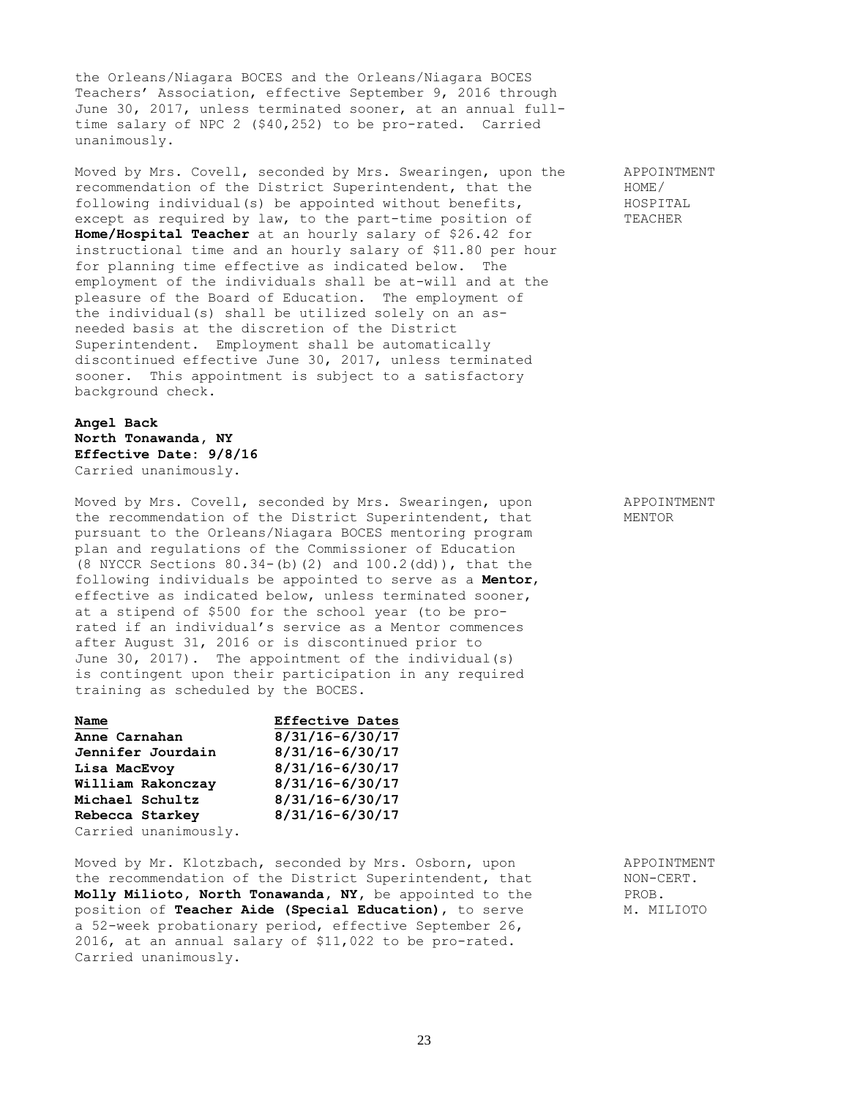the Orleans/Niagara BOCES and the Orleans/Niagara BOCES Teachers' Association, effective September 9, 2016 through June 30, 2017, unless terminated sooner, at an annual fulltime salary of NPC 2 (\$40,252) to be pro-rated. Carried unanimously.

Moved by Mrs. Covell, seconded by Mrs. Swearingen, upon the APPOINTMENT recommendation of the District Superintendent, that the HOME/ following individual(s) be appointed without benefits, HOSPITAL except as required by law, to the part-time position of TEACHER **Home/Hospital Teacher** at an hourly salary of \$26.42 for instructional time and an hourly salary of \$11.80 per hour for planning time effective as indicated below. The employment of the individuals shall be at-will and at the pleasure of the Board of Education. The employment of the individual(s) shall be utilized solely on an asneeded basis at the discretion of the District Superintendent. Employment shall be automatically discontinued effective June 30, 2017, unless terminated sooner. This appointment is subject to a satisfactory background check.

**Angel Back North Tonawanda, NY Effective Date: 9/8/16** Carried unanimously.

Moved by Mrs. Covell, seconded by Mrs. Swearingen, upon APPOINTMENT the recommendation of the District Superintendent, that MENTOR pursuant to the Orleans/Niagara BOCES mentoring program plan and regulations of the Commissioner of Education (8 NYCCR Sections 80.34-(b)(2) and 100.2(dd)), that the following individuals be appointed to serve as a **Mentor**, effective as indicated below, unless terminated sooner, at a stipend of \$500 for the school year (to be prorated if an individual's service as a Mentor commences after August 31, 2016 or is discontinued prior to June 30, 2017). The appointment of the individual(s) is contingent upon their participation in any required training as scheduled by the BOCES.

| Name                 | <b>Effective Dates</b> |
|----------------------|------------------------|
| Anne Carnahan        | $8/31/16 - 6/30/17$    |
| Jennifer Jourdain    | $8/31/16 - 6/30/17$    |
| Lisa MacEvoy         | $8/31/16 - 6/30/17$    |
| William Rakonczay    | $8/31/16 - 6/30/17$    |
| Michael Schultz      | $8/31/16 - 6/30/17$    |
| Rebecca Starkey      | $8/31/16 - 6/30/17$    |
| Carried unanimously. |                        |

Moved by Mr. Klotzbach, seconded by Mrs. Osborn, upon APPOINTMENT the recommendation of the District Superintendent, that MON-CERT.<br> **Molly Milioto, North Tonawanda, NY,** be appointed to the PROB. Molly Milioto, North Tonawanda, NY, be appointed to the position of **Teacher Aide (Special Education)**, to serve M. MILIOTO a 52-week probationary period, effective September 26, 2016, at an annual salary of \$11,022 to be pro-rated. Carried unanimously.

23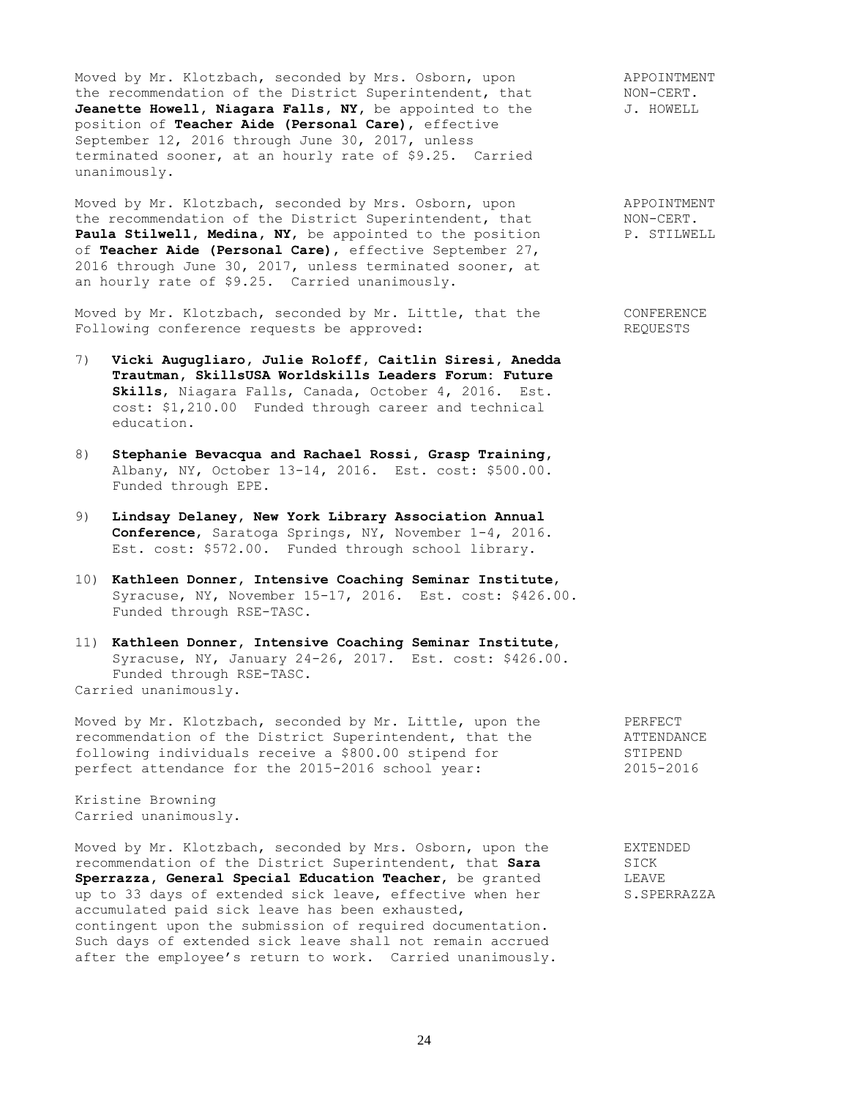Moved by Mr. Klotzbach, seconded by Mrs. Osborn, upon APPOINTMENT the recommendation of the District Superintendent, that MON-CERT. Jeanette Howell, Niagara Falls, NY, be appointed to the  $J$ . HOWELL position of **Teacher Aide (Personal Care)**, effective September 12, 2016 through June 30, 2017, unless terminated sooner, at an hourly rate of \$9.25. Carried unanimously.

Moved by Mr. Klotzbach, seconded by Mrs. Osborn, upon appointment<br>the recommendation of the District Superintendent, that MON-CERT.<br>**Paula Stilwell, Medina, NY**, be appointed to the position and P. STILWELL the recommendation of the District Superintendent, that Paula Stilwell, Medina, NY, be appointed to the position of **Teacher Aide (Personal Care)**, effective September 27, 2016 through June 30, 2017, unless terminated sooner, at an hourly rate of \$9.25. Carried unanimously.

Moved by Mr. Klotzbach, seconded by Mr. Little, that the CONFERENCE Following conference requests be approved: The REQUESTS

- 7) **Vicki Augugliaro, Julie Roloff, Caitlin Siresi, Anedda Trautman, SkillsUSA Worldskills Leaders Forum: Future Skills**, Niagara Falls, Canada, October 4, 2016. Est. cost: \$1,210.00 Funded through career and technical education.
- 8) **Stephanie Bevacqua and Rachael Rossi, Grasp Training,** Albany, NY, October 13-14, 2016. Est. cost: \$500.00. Funded through EPE.
- 9) **Lindsay Delaney, New York Library Association Annual Conference**, Saratoga Springs, NY, November 1-4, 2016. Est. cost: \$572.00. Funded through school library.
- 10) **Kathleen Donner, Intensive Coaching Seminar Institute**, Syracuse, NY, November 15-17, 2016. Est. cost: \$426.00. Funded through RSE-TASC.
- 11) **Kathleen Donner, Intensive Coaching Seminar Institute**, Syracuse, NY, January 24-26, 2017. Est. cost: \$426.00. Funded through RSE-TASC. Carried unanimously.

Moved by Mr. Klotzbach, seconded by Mr. Little, upon the PERFECT recommendation of the District Superintendent, that the ATTENDANCE recommendation of the District superintenation, these theory of STIPEND<br>following individuals receive a \$800.00 stipend for STIPEND<br>perfect attendance for the 2015-2016 school year: 2015-2016 perfect attendance for the 2015-2016 school year:

Kristine Browning Carried unanimously.

Moved by Mr. Klotzbach, seconded by Mrs. Osborn, upon the EXTENDED recommendation of the District Superintendent, that **Sara** SICK **Sperrazza, General Special Education Teacher**, be granted LEAVE up to 33 days of extended sick leave, effective when her S.SPERRAZZA accumulated paid sick leave has been exhausted, contingent upon the submission of required documentation. Such days of extended sick leave shall not remain accrued after the employee's return to work. Carried unanimously.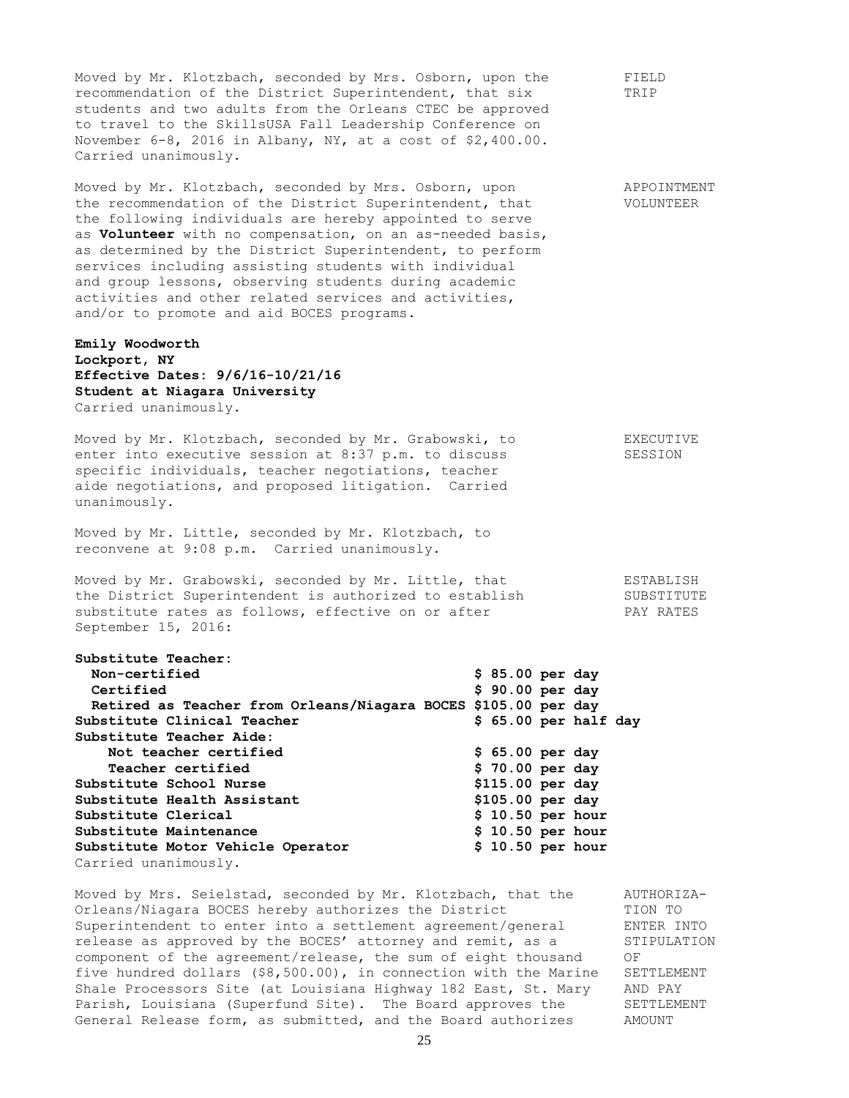Moved by Mr. Klotzbach, seconded by Mrs. Osborn, upon the FIELD recommendation of the District Superintendent, that six TRIP students and two adults from the Orleans CTEC be approved to travel to the SkillsUSA Fall Leadership Conference on November 6-8, 2016 in Albany, NY, at a cost of \$2,400.00. Carried unanimously. Moved by Mr. Klotzbach, seconded by Mrs. Osborn, upon APPOINTMENT the recommendation of the District Superintendent, that VOLUNTEER the following individuals are hereby appointed to serve as **Volunteer** with no compensation, on an as-needed basis, as determined by the District Superintendent, to perform services including assisting students with individual and group lessons, observing students during academic activities and other related services and activities, and/or to promote and aid BOCES programs. **Emily Woodworth Lockport, NY Effective Dates: 9/6/16-10/21/16 Student at Niagara University** Carried unanimously. Moved by Mr. Klotzbach, seconded by Mr. Grabowski, to EXECUTIVE enter into executive session at 8:37 p.m. to discuss SESSION specific individuals, teacher negotiations, teacher aide negotiations, and proposed litigation. Carried unanimously. Moved by Mr. Little, seconded by Mr. Klotzbach, to reconvene at 9:08 p.m. Carried unanimously. Moved by Mr. Grabowski, seconded by Mr. Little, that The ESTABLISH the District Superintendent is authorized to establish SUBSTITUTE substitute rates as follows, effective on or after TAY RATES September 15, 2016: **Substitute Teacher: Non-certified \$ 85.00 per day Certified \$ 90.00 per day Retired as Teacher from Orleans/Niagara BOCES \$105.00 per day Substitute Clinical Teacher \$ 65.00 per half day Substitute Teacher Aide: Not teacher certified \$ 65.00 per day Teacher certified \$ 70.00 per day Substitute School Nurse \$115.00 per day Substitute Health Assistant \$105.00 per day Substitute Clerical \$ 10.50 per hour Substitute Maintenance \$ 10.50 per hour Substitute Motor Vehicle Operator \$ 10.50 per hour** Carried unanimously. Moved by Mrs. Seielstad, seconded by Mr. Klotzbach, that the AUTHORIZA-Orleans/Niagara BOCES hereby authorizes the District TION TO Superintendent to enter into a settlement agreement/general ENTER INTO release as approved by the BOCES' attorney and remit, as a STIPULATION component of the agreement/release, the sum of eight thousand OF for the agreement/release, the sum of eight thousand of the agreement/release, the sum of eight thousand OF<br>five hundred dollars (\$8,500.00), in connection with the Marine SETTLEMENT

Shale Processors Site (at Louisiana Highway 182 East, St. Mary AND PAY Parish, Louisiana (Superfund Site). The Board approves the SETTLEMENT General Release form, as submitted, and the Board authorizes a AMOUNT